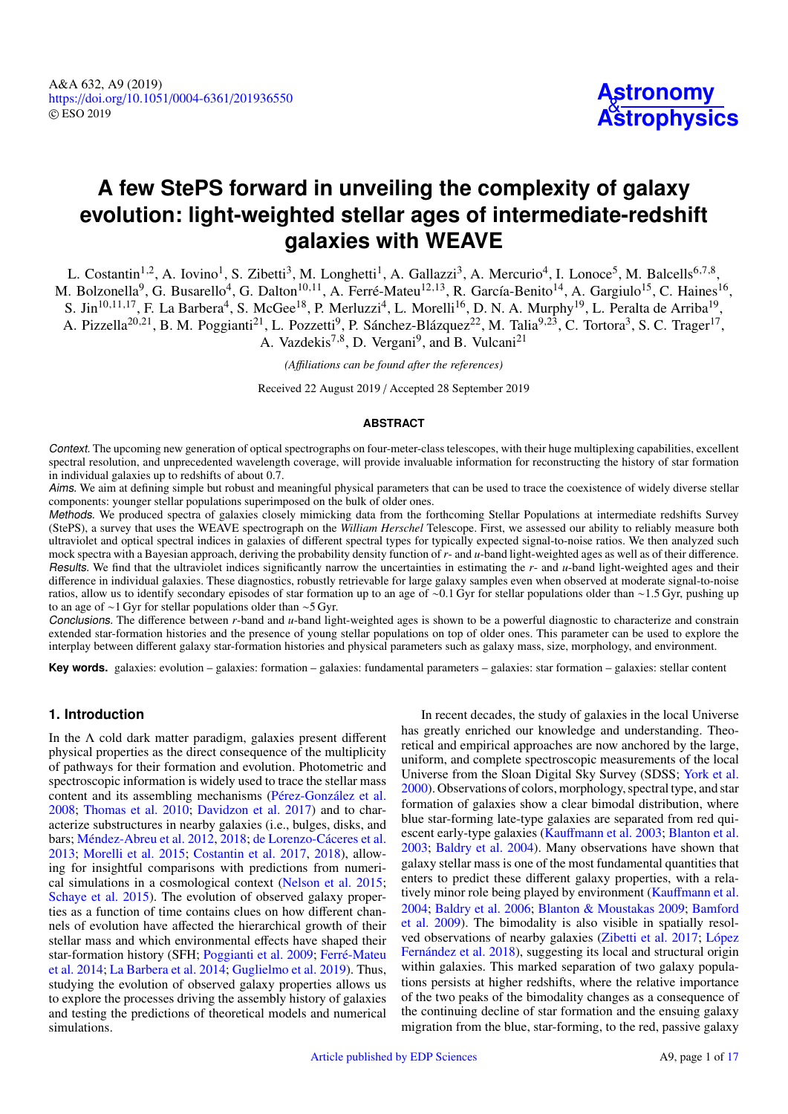# **A few StePS forward in unveiling the complexity of galaxy evolution: light-weighted stellar ages of intermediate-redshift galaxies with WEAVE**

L. Costantin<sup>[1](#page-15-0)[,2](#page-15-1)</sup>, A. Iovino<sup>1</sup>, S. Zibetti<sup>[3](#page-15-2)</sup>, M. Longhetti<sup>1</sup>, A. Gallazzi<sup>3</sup>, A. Mercurio<sup>[4](#page-15-3)</sup>, I. Lonoce<sup>[5](#page-16-0)</sup>, M. Balcells<sup>[6](#page-16-1)[,7](#page-16-2)[,8](#page-16-3)</sup>, M. Bolzonella<sup>[9](#page-16-4)</sup>, G. Busarello<sup>[4](#page-15-3)</sup>, G. Dalton<sup>[10](#page-16-5)[,11](#page-16-6)</sup>, A. Ferré-Mateu<sup>[12](#page-16-7)[,13](#page-16-8)</sup>, R. García-Benito<sup>[14](#page-16-9)</sup>, A. Gargiulo<sup>[15](#page-16-10)</sup>, C. Haines<sup>[16](#page-16-11)</sup>, S. Jin<sup>[10](#page-16-5)[,11](#page-16-6)[,17](#page-16-12)</sup>, F. La Barbera<sup>[4](#page-15-3)</sup>, S. McGee<sup>[18](#page-16-13)</sup>, P. Merluzzi<sup>4</sup>, L. Morelli<sup>[16](#page-16-11)</sup>, D. N. A. Murphy<sup>[19](#page-16-14)</sup>, L. Peralta de Arriba<sup>19</sup>, A. Pizzella<sup>[20](#page-16-15)[,21](#page-16-16)</sup>, B. M. Poggianti<sup>[21](#page-16-16)</sup>, L. Pozzetti<sup>[9](#page-16-4)</sup>, P. Sánchez-Blázquez<sup>[22](#page-16-17)</sup>, M. Talia<sup>9[,23](#page-16-18)</sup>, C. Tortora<sup>[3](#page-15-2)</sup>, S. C. Trager<sup>[17](#page-16-12)</sup>, A. Vazdekis<sup>[7](#page-16-2)[,8](#page-16-3)</sup>, D. Vergani<sup>[9](#page-16-4)</sup>, and B. Vulcani<sup>[21](#page-16-16)</sup>

*(A*ffi*liations can be found after the references)*

Received 22 August 2019 / Accepted 28 September 2019

## **ABSTRACT**

Context. The upcoming new generation of optical spectrographs on four-meter-class telescopes, with their huge multiplexing capabilities, excellent spectral resolution, and unprecedented wavelength coverage, will provide invaluable information for reconstructing the history of star formation in individual galaxies up to redshifts of about 0.7.

Aims. We aim at defining simple but robust and meaningful physical parameters that can be used to trace the coexistence of widely diverse stellar components: younger stellar populations superimposed on the bulk of older ones.

Methods. We produced spectra of galaxies closely mimicking data from the forthcoming Stellar Populations at intermediate redshifts Survey (StePS), a survey that uses the WEAVE spectrograph on the *William Herschel* Telescope. First, we assessed our ability to reliably measure both ultraviolet and optical spectral indices in galaxies of different spectral types for typically expected signal-to-noise ratios. We then analyzed such mock spectra with a Bayesian approach, deriving the probability density function of *r*- and *u*-band light-weighted ages as well as of their difference. Results. We find that the ultraviolet indices significantly narrow the uncertainties in estimating the *r*- and *u*-band light-weighted ages and their difference in individual galaxies. These diagnostics, robustly retrievable for large galaxy samples even when observed at moderate signal-to-noise ratios, allow us to identify secondary episodes of star formation up to an age of <sup>∼</sup>0.1 Gyr for stellar populations older than <sup>∼</sup>1.5 Gyr, pushing up to an age of ∼1 Gyr for stellar populations older than ∼5 Gyr.

Conclusions. The difference between *r*-band and *u*-band light-weighted ages is shown to be a powerful diagnostic to characterize and constrain extended star-formation histories and the presence of young stellar populations on top of older ones. This parameter can be used to explore the interplay between different galaxy star-formation histories and physical parameters such as galaxy mass, size, morphology, and environment.

**Key words.** galaxies: evolution – galaxies: formation – galaxies: fundamental parameters – galaxies: star formation – galaxies: stellar content

# **1. Introduction**

In the  $\Lambda$  cold dark matter paradigm, galaxies present different physical properties as the direct consequence of the multiplicity of pathways for their formation and evolution. Photometric and spectroscopic information is widely used to trace the stellar mass content and its assembling mechanisms [\(Pérez-González et al.](#page-15-4) [2008;](#page-15-4) [Thomas et al.](#page-15-5) [2010;](#page-15-5) [Davidzon et al.](#page-15-6) [2017\)](#page-15-6) and to characterize substructures in nearby galaxies (i.e., bulges, disks, and bars; [Méndez-Abreu et al.](#page-15-7) [2012,](#page-15-7) [2018;](#page-15-8) [de Lorenzo-Cáceres et al.](#page-15-9) [2013;](#page-15-9) [Morelli et al.](#page-15-10) [2015;](#page-15-10) [Costantin et al.](#page-15-11) [2017,](#page-15-11) [2018\)](#page-15-12), allowing for insightful comparisons with predictions from numerical simulations in a cosmological context [\(Nelson et al.](#page-15-13) [2015;](#page-15-13) [Schaye et al.](#page-15-14) [2015\)](#page-15-14). The evolution of observed galaxy properties as a function of time contains clues on how different channels of evolution have affected the hierarchical growth of their stellar mass and which environmental effects have shaped their star-formation history (SFH; [Poggianti et al.](#page-15-15) [2009;](#page-15-15) [Ferré-Mateu](#page-15-16) [et al.](#page-15-16) [2014;](#page-15-16) [La Barbera et al.](#page-15-17) [2014;](#page-15-17) [Guglielmo et al.](#page-15-18) [2019\)](#page-15-18). Thus, studying the evolution of observed galaxy properties allows us to explore the processes driving the assembly history of galaxies and testing the predictions of theoretical models and numerical simulations.

In recent decades, the study of galaxies in the local Universe has greatly enriched our knowledge and understanding. Theoretical and empirical approaches are now anchored by the large, uniform, and complete spectroscopic measurements of the local Universe from the Sloan Digital Sky Survey (SDSS; [York et al.](#page-15-19) [2000\)](#page-15-19). Observations of colors, morphology, spectral type, and star formation of galaxies show a clear bimodal distribution, where blue star-forming late-type galaxies are separated from red quiescent early-type galaxies (Kauff[mann et al.](#page-15-20) [2003;](#page-15-20) [Blanton et al.](#page-15-21) [2003;](#page-15-21) [Baldry et al.](#page-15-22) [2004\)](#page-15-22). Many observations have shown that galaxy stellar mass is one of the most fundamental quantities that enters to predict these different galaxy properties, with a relatively minor role being played by environment (Kauff[mann et al.](#page-15-23) [2004;](#page-15-23) [Baldry et al.](#page-15-24) [2006;](#page-15-24) [Blanton & Moustakas](#page-15-25) [2009;](#page-15-25) [Bamford](#page-15-26) [et al.](#page-15-26) [2009\)](#page-15-26). The bimodality is also visible in spatially resolved observations of nearby galaxies [\(Zibetti et al.](#page-15-27) [2017;](#page-15-27) [López](#page-15-28) [Fernández et al.](#page-15-28) [2018\)](#page-15-28), suggesting its local and structural origin within galaxies. This marked separation of two galaxy populations persists at higher redshifts, where the relative importance of the two peaks of the bimodality changes as a consequence of the continuing decline of star formation and the ensuing galaxy migration from the blue, star-forming, to the red, passive galaxy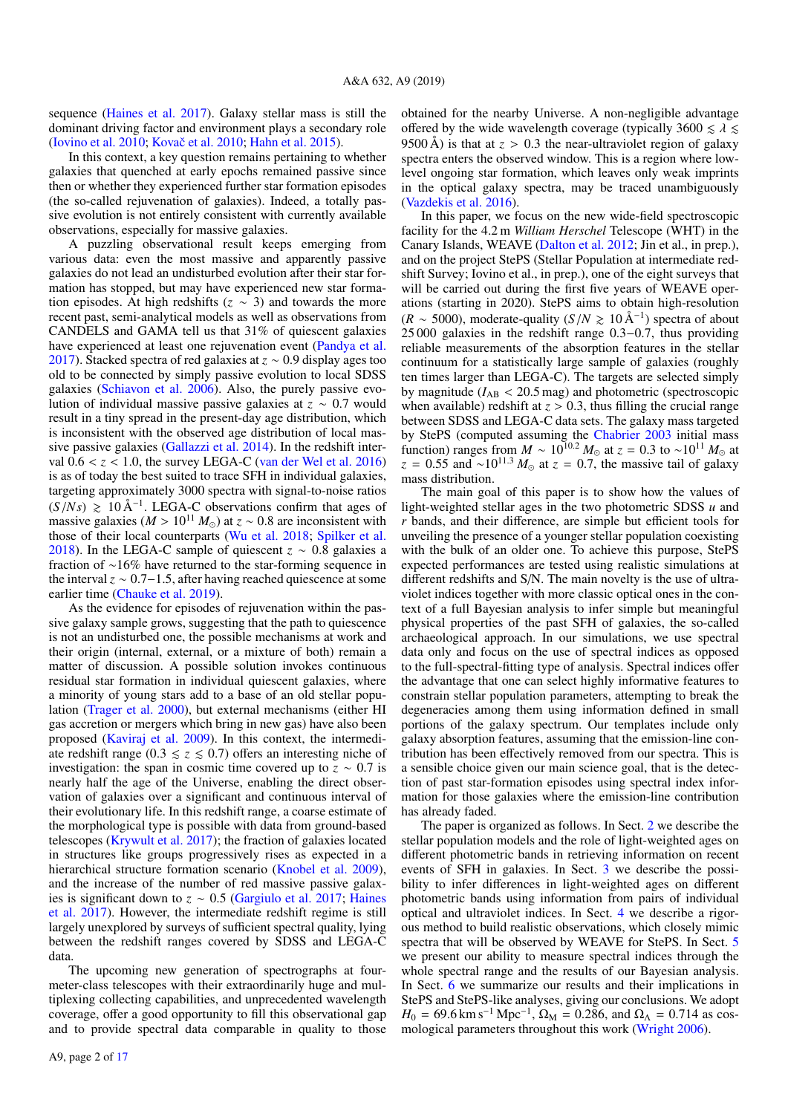sequence [\(Haines et al.](#page-15-29) [2017\)](#page-15-29). Galaxy stellar mass is still the dominant driving factor and environment plays a secondary role [\(Iovino et al.](#page-15-30) [2010;](#page-15-31) Kovač et al. 2010; [Hahn et al.](#page-15-32) [2015\)](#page-15-32).

In this context, a key question remains pertaining to whether galaxies that quenched at early epochs remained passive since then or whether they experienced further star formation episodes (the so-called rejuvenation of galaxies). Indeed, a totally passive evolution is not entirely consistent with currently available observations, especially for massive galaxies.

A puzzling observational result keeps emerging from various data: even the most massive and apparently passive galaxies do not lead an undisturbed evolution after their star formation has stopped, but may have experienced new star formation episodes. At high redshifts ( $z \sim 3$ ) and towards the more recent past, semi-analytical models as well as observations from CANDELS and GAMA tell us that 31% of quiescent galaxies have experienced at least one rejuvenation event [\(Pandya et al.](#page-15-33) [2017\)](#page-15-33). Stacked spectra of red galaxies at *<sup>z</sup>* <sup>∼</sup> <sup>0</sup>.9 display ages too old to be connected by simply passive evolution to local SDSS galaxies [\(Schiavon et al.](#page-15-34) [2006\)](#page-15-34). Also, the purely passive evolution of individual massive passive galaxies at *<sup>z</sup>* <sup>∼</sup> <sup>0</sup>.7 would result in a tiny spread in the present-day age distribution, which is inconsistent with the observed age distribution of local massive passive galaxies [\(Gallazzi et al.](#page-15-35) [2014\)](#page-15-35). In the redshift interval  $0.6 < z < 1.0$ , the survey LEGA-C [\(van der Wel et al.](#page-15-36) [2016\)](#page-15-36) is as of today the best suited to trace SFH in individual galaxies, targeting approximately 3000 spectra with signal-to-noise ratios  $(S/Ns) \ge 10 \text{ Å}^{-1}$ . LEGA-C observations confirm that ages of massive galaxies  $(M > 10^{11} M_{\odot})$  at  $z \sim 0.8$  are inconsistent with massive galaxies ( $M > 10^{11} M_{\odot}$ ) at  $z \sim 0.8$  are inconsistent with those of their local counterparts [\(Wu et al.](#page-15-37) [2018;](#page-15-37) [Spilker et al.](#page-15-38) [2018\)](#page-15-38). In the LEGA-C sample of quiescent  $z \sim 0.8$  galaxies a fraction of ∼16% have returned to the star-forming sequence in the interval*<sup>z</sup>* <sup>∼</sup> <sup>0</sup>.7−1.5, after having reached quiescence at some earlier time [\(Chauke et al.](#page-15-39) [2019\)](#page-15-39).

As the evidence for episodes of rejuvenation within the passive galaxy sample grows, suggesting that the path to quiescence is not an undisturbed one, the possible mechanisms at work and their origin (internal, external, or a mixture of both) remain a matter of discussion. A possible solution invokes continuous residual star formation in individual quiescent galaxies, where a minority of young stars add to a base of an old stellar population [\(Trager et al.](#page-15-40) [2000\)](#page-15-40), but external mechanisms (either HI gas accretion or mergers which bring in new gas) have also been proposed [\(Kaviraj et al.](#page-15-41) [2009\)](#page-15-41). In this context, the intermediate redshift range (0.3  $\le z \le 0.7$ ) offers an interesting niche of investigation: the span in cosmic time covered up to  $z \sim 0.7$  is nearly half the age of the Universe, enabling the direct observation of galaxies over a significant and continuous interval of their evolutionary life. In this redshift range, a coarse estimate of the morphological type is possible with data from ground-based telescopes [\(Krywult et al.](#page-15-42) [2017\)](#page-15-42); the fraction of galaxies located in structures like groups progressively rises as expected in a hierarchical structure formation scenario [\(Knobel et al.](#page-15-43) [2009\)](#page-15-43), and the increase of the number of red massive passive galaxies is significant down to *<sup>z</sup>* <sup>∼</sup> <sup>0</sup>.5 [\(Gargiulo et al.](#page-15-44) [2017;](#page-15-44) [Haines](#page-15-29) [et al.](#page-15-29) [2017\)](#page-15-29). However, the intermediate redshift regime is still largely unexplored by surveys of sufficient spectral quality, lying between the redshift ranges covered by SDSS and LEGA-C data.

The upcoming new generation of spectrographs at fourmeter-class telescopes with their extraordinarily huge and multiplexing collecting capabilities, and unprecedented wavelength coverage, offer a good opportunity to fill this observational gap and to provide spectral data comparable in quality to those obtained for the nearby Universe. A non-negligible advantage offered by the wide wavelength coverage (typically  $3600 \le \lambda \le$ 9500 Å) is that at  $z > 0.3$  the near-ultraviolet region of galaxy spectra enters the observed window. This is a region where lowlevel ongoing star formation, which leaves only weak imprints in the optical galaxy spectra, may be traced unambiguously [\(Vazdekis et al.](#page-15-45) [2016\)](#page-15-45).

In this paper, we focus on the new wide-field spectroscopic facility for the 4.2 m *William Herschel* Telescope (WHT) in the Canary Islands, WEAVE [\(Dalton et al.](#page-15-46) [2012;](#page-15-46) Jin et al., in prep.), and on the project StePS (Stellar Population at intermediate redshift Survey; Iovino et al., in prep.), one of the eight surveys that will be carried out during the first five years of WEAVE operations (starting in 2020). StePS aims to obtain high-resolution  $(R \sim 5000)$ , moderate-quality  $(S/N \ge 10 \text{ Å}^{-1})$  spectra of about 25000 galaxies in the redshift range 0.3–0.7 thus providing 25 000 galaxies in the redshift range 0.3−0.7, thus providing reliable measurements of the absorption features in the stellar continuum for a statistically large sample of galaxies (roughly ten times larger than LEGA-C). The targets are selected simply by magnitude  $(I_{AB} < 20.5 \text{ mag})$  and photometric (spectroscopic when available) redshift at  $z > 0.3$ , thus filling the crucial range between SDSS and LEGA-C data sets. The galaxy mass targeted by StePS (computed assuming the [Chabrier](#page-15-47) [2003](#page-15-47) initial mass function) ranges from  $M \sim 10^{10.2} M_{\odot}$  at  $z = 0.3$  to ~ $10^{11} M_{\odot}$  at  $z = 0.7$  at  $z = 0.7$  the massive tail of galaxy  $z = 0.55$  and ~10<sup>11.3</sup>  $M_{\odot}$  at  $z = 0.7$ , the massive tail of galaxy mass distribution mass distribution.

The main goal of this paper is to show how the values of light-weighted stellar ages in the two photometric SDSS *u* and *r* bands, and their difference, are simple but efficient tools for unveiling the presence of a younger stellar population coexisting with the bulk of an older one. To achieve this purpose, StePS expected performances are tested using realistic simulations at different redshifts and S/N. The main novelty is the use of ultraviolet indices together with more classic optical ones in the context of a full Bayesian analysis to infer simple but meaningful physical properties of the past SFH of galaxies, the so-called archaeological approach. In our simulations, we use spectral data only and focus on the use of spectral indices as opposed to the full-spectral-fitting type of analysis. Spectral indices offer the advantage that one can select highly informative features to constrain stellar population parameters, attempting to break the degeneracies among them using information defined in small portions of the galaxy spectrum. Our templates include only galaxy absorption features, assuming that the emission-line contribution has been effectively removed from our spectra. This is a sensible choice given our main science goal, that is the detection of past star-formation episodes using spectral index information for those galaxies where the emission-line contribution has already faded.

The paper is organized as follows. In Sect. [2](#page-2-0) we describe the stellar population models and the role of light-weighted ages on different photometric bands in retrieving information on recent events of SFH in galaxies. In Sect. [3](#page-5-0) we describe the possibility to infer differences in light-weighted ages on different photometric bands using information from pairs of individual optical and ultraviolet indices. In Sect. [4](#page-7-0) we describe a rigorous method to build realistic observations, which closely mimic spectra that will be observed by WEAVE for StePS. In Sect. [5](#page-9-0) we present our ability to measure spectral indices through the whole spectral range and the results of our Bayesian analysis. In Sect. [6](#page-14-0) we summarize our results and their implications in StePS and StePS-like analyses, giving our conclusions. We adopt  $H_0 = 69.6 \text{ km s}^{-1} \text{ Mpc}^{-1}$ ,  $\Omega_M = 0.286$ , and  $\Omega_A = 0.714$  as cos-<br>mological parameters throughout this work (Wright 2006) mological parameters throughout this work [\(Wright](#page-15-48) [2006\)](#page-15-48).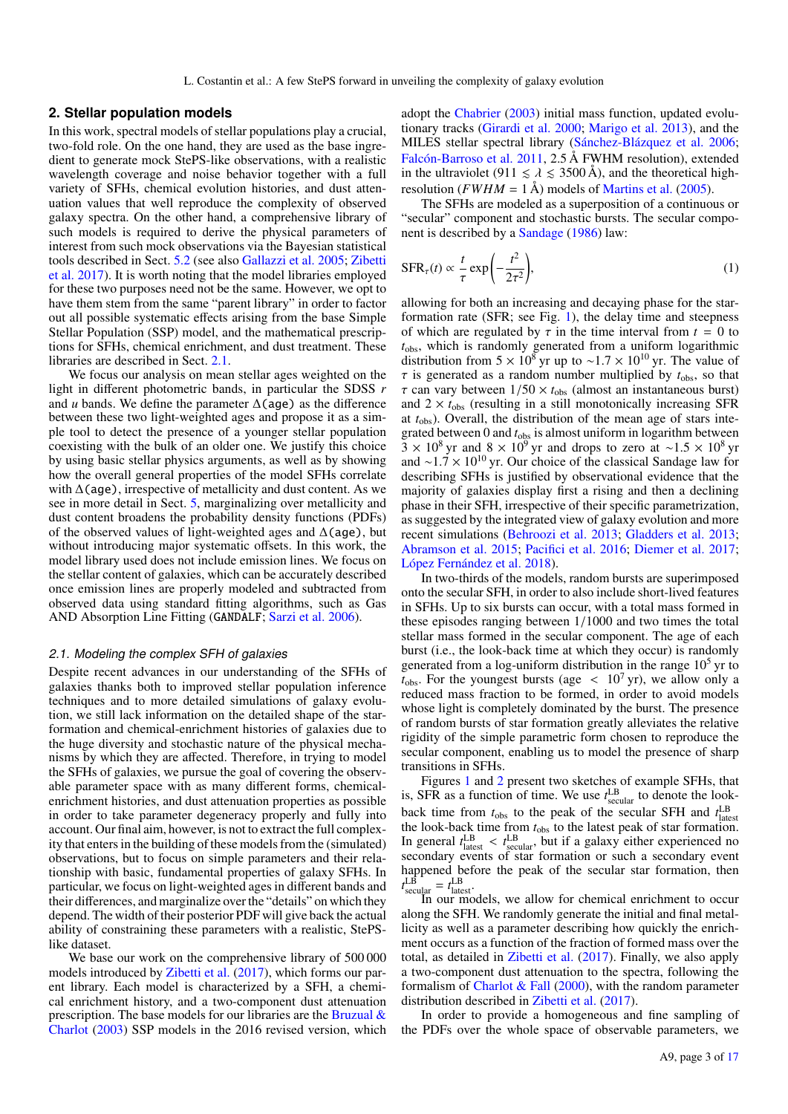### <span id="page-2-0"></span>**2. Stellar population models**

In this work, spectral models of stellar populations play a crucial, two-fold role. On the one hand, they are used as the base ingredient to generate mock StePS-like observations, with a realistic wavelength coverage and noise behavior together with a full variety of SFHs, chemical evolution histories, and dust attenuation values that well reproduce the complexity of observed galaxy spectra. On the other hand, a comprehensive library of such models is required to derive the physical parameters of interest from such mock observations via the Bayesian statistical tools described in Sect. [5.2](#page-10-0) (see also [Gallazzi et al.](#page-15-49) [2005;](#page-15-49) [Zibetti](#page-15-27) [et al.](#page-15-27) [2017\)](#page-15-27). It is worth noting that the model libraries employed for these two purposes need not be the same. However, we opt to have them stem from the same "parent library" in order to factor out all possible systematic effects arising from the base Simple Stellar Population (SSP) model, and the mathematical prescriptions for SFHs, chemical enrichment, and dust treatment. These libraries are described in Sect. [2.1.](#page-2-1)

We focus our analysis on mean stellar ages weighted on the light in different photometric bands, in particular the SDSS *r* and *u* bands. We define the parameter ∆(age) as the difference between these two light-weighted ages and propose it as a simple tool to detect the presence of a younger stellar population coexisting with the bulk of an older one. We justify this choice by using basic stellar physics arguments, as well as by showing how the overall general properties of the model SFHs correlate with ∆(age), irrespective of metallicity and dust content. As we see in more detail in Sect. [5,](#page-9-0) marginalizing over metallicity and dust content broadens the probability density functions (PDFs) of the observed values of light-weighted ages and ∆(age), but without introducing major systematic offsets. In this work, the model library used does not include emission lines. We focus on the stellar content of galaxies, which can be accurately described once emission lines are properly modeled and subtracted from observed data using standard fitting algorithms, such as Gas AND Absorption Line Fitting (GANDALF; [Sarzi et al.](#page-15-50) [2006\)](#page-15-50).

#### <span id="page-2-1"></span>2.1. Modeling the complex SFH of galaxies

Despite recent advances in our understanding of the SFHs of galaxies thanks both to improved stellar population inference techniques and to more detailed simulations of galaxy evolution, we still lack information on the detailed shape of the starformation and chemical-enrichment histories of galaxies due to the huge diversity and stochastic nature of the physical mechanisms by which they are affected. Therefore, in trying to model the SFHs of galaxies, we pursue the goal of covering the observable parameter space with as many different forms, chemicalenrichment histories, and dust attenuation properties as possible in order to take parameter degeneracy properly and fully into account. Our final aim, however, is not to extract the full complexity that enters in the building of these models from the (simulated) observations, but to focus on simple parameters and their relationship with basic, fundamental properties of galaxy SFHs. In particular, we focus on light-weighted ages in different bands and their differences, and marginalize over the "details" on which they depend. The width of their posterior PDF will give back the actual ability of constraining these parameters with a realistic, StePSlike dataset.

We base our work on the comprehensive library of 500 000 models introduced by [Zibetti et al.](#page-15-27) [\(2017\)](#page-15-27), which forms our parent library. Each model is characterized by a SFH, a chemical enrichment history, and a two-component dust attenuation prescription. The base models for our libraries are the [Bruzual &](#page-15-51) [Charlot](#page-15-51) [\(2003\)](#page-15-51) SSP models in the 2016 revised version, which

adopt the [Chabrier](#page-15-47) [\(2003\)](#page-15-47) initial mass function, updated evolutionary tracks [\(Girardi et al.](#page-15-52) [2000;](#page-15-52) [Marigo et al.](#page-15-53) [2013\)](#page-15-53), and the MILES stellar spectral library [\(Sánchez-Blázquez et al.](#page-15-54) [2006;](#page-15-54) [Falcón-Barroso et al.](#page-15-55) [2011,](#page-15-55) 2.5 Å FWHM resolution), extended in the ultraviolet (911  $\le \lambda \le 3500$  Å), and the theoretical highresolution ( $FWHM = 1 \text{ Å}$ ) models of [Martins et al.](#page-15-56) [\(2005\)](#page-15-56).

The SFHs are modeled as a superposition of a continuous or "secular" component and stochastic bursts. The secular component is described by a [Sandage](#page-15-57) [\(1986\)](#page-15-57) law:

$$
SFR_{\tau}(t) \propto \frac{t}{\tau} \exp\left(-\frac{t^2}{2\tau^2}\right),\tag{1}
$$

allowing for both an increasing and decaying phase for the starformation rate (SFR; see Fig. [1\)](#page-3-0), the delay time and steepness of which are regulated by  $\tau$  in the time interval from  $t = 0$  to *t*obs, which is randomly generated from a uniform logarithmic distribution from  $5 \times 10^8$  yr up to ~1.7 × 10<sup>10</sup> yr. The value of  $\tau$  is generated as a random number multiplied by  $t_{obs}$ , so that  $\tau$  can vary between  $1/50 \times t_{obs}$  (almost an instantaneous burst) and  $2 \times t_{obs}$  (resulting in a still monotonically increasing SFR at *t*obs). Overall, the distribution of the mean age of stars integrated between  $\theta$  and  $t_{obs}$  is almost uniform in logarithm between  $3 \times 10^8$  yr and  $8 \times 10^9$  yr and drops to zero at ~1.5 × 10<sup>8</sup> yr and ~1.7 × 10<sup>10</sup> yr. Our choice of the classical Sandage law for describing SFHs is justified by observational evidence that the majority of galaxies display first a rising and then a declining phase in their SFH, irrespective of their specific parametrization, as suggested by the integrated view of galaxy evolution and more recent simulations [\(Behroozi et al.](#page-15-58) [2013;](#page-15-58) [Gladders et al.](#page-15-59) [2013;](#page-15-59) [Abramson et al.](#page-15-60) [2015;](#page-15-60) [Pacifici et al.](#page-15-61) [2016;](#page-15-61) [Diemer et al.](#page-15-62) [2017;](#page-15-62) [López Fernández et al.](#page-15-28) [2018\)](#page-15-28).

In two-thirds of the models, random bursts are superimposed onto the secular SFH, in order to also include short-lived features in SFHs. Up to six bursts can occur, with a total mass formed in these episodes ranging between 1/1000 and two times the total stellar mass formed in the secular component. The age of each burst (i.e., the look-back time at which they occur) is randomly generated from a log-uniform distribution in the range  $10<sup>5</sup>$  yr to  $t_{\rm obs}$ . For the youngest bursts (age  $\langle 10^7 \,\mathrm{yr} \rangle$ , we allow only a reduced mass fraction to be formed, in order to avoid models whose light is completely dominated by the burst. The presence of random bursts of star formation greatly alleviates the relative rigidity of the simple parametric form chosen to reproduce the secular component, enabling us to model the presence of sharp transitions in SFHs.

Figures [1](#page-3-0) and [2](#page-3-1) present two sketches of example SFHs, that is, SFR as a function of time. We use  $t_{\text{secular}}^{\text{LB}}$  to denote the lookback time from  $t_{\text{obs}}$  to the peak of the secular SFH and  $t_{\text{lates}}^{\text{LB}}$ the look-back time from  $t_{obs}$  to the latest peak of star formation. In general  $t_{\text{last}}^{\text{LB}} < t_{\text{secular}}^{\text{LB}}$ , but if a galaxy either experienced no<br>secondary events of star formation or such a secondary event secondary events of star formation or such a secondary event happened before the peak of the secular star formation, then  $t_{\text{secular}}^{\text{LB}} = t_{\text{lates}}^{\text{LB}}$ 

In our models, we allow for chemical enrichment to occur along the SFH. We randomly generate the initial and final metallicity as well as a parameter describing how quickly the enrichment occurs as a function of the fraction of formed mass over the total, as detailed in [Zibetti et al.](#page-15-27) [\(2017\)](#page-15-27). Finally, we also apply a two-component dust attenuation to the spectra, following the formalism of Charlot  $& Fall (2000)$  $& Fall (2000)$ , with the random parameter distribution described in [Zibetti et al.](#page-15-27) [\(2017\)](#page-15-27).

In order to provide a homogeneous and fine sampling of the PDFs over the whole space of observable parameters, we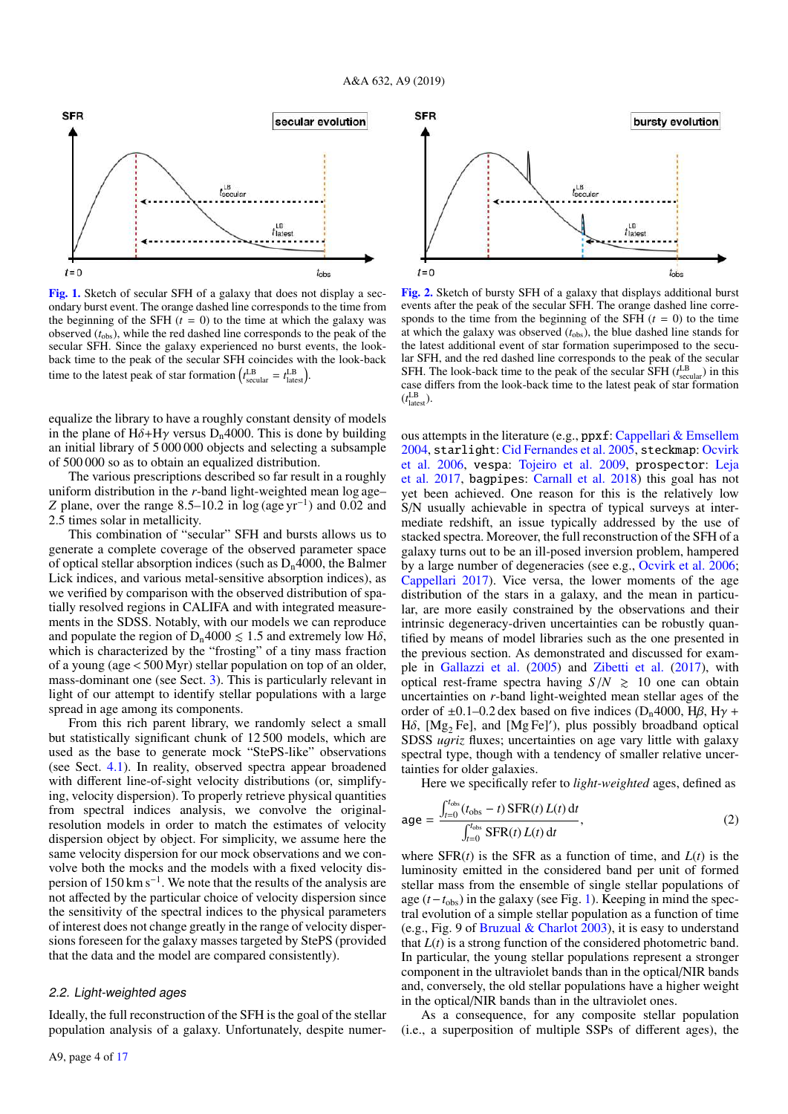

<span id="page-3-0"></span>[Fig. 1.](https://dexter.edpsciences.org/applet.php?DOI=10.1051/0004-6361/201936550&pdf_id=1) Sketch of secular SFH of a galaxy that does not display a secondary burst event. The orange dashed line corresponds to the time from the beginning of the SFH  $(t = 0)$  to the time at which the galaxy was observed (*t*obs), while the red dashed line corresponds to the peak of the secular SFH. Since the galaxy experienced no burst events, the lookback time to the peak of the secular SFH coincides with the look-back time to the latest peak of star formation  $(t_{\text{secular}}^{\text{LB}} = t_{\text{lates}}^{\text{LB}})$ .

equalize the library to have a roughly constant density of models in the plane of H $\delta$ +H $\gamma$  versus D<sub>n</sub>4000. This is done by building an initial library of 5 000 000 objects and selecting a subsample of 500 000 so as to obtain an equalized distribution.

The various prescriptions described so far result in a roughly uniform distribution in the *r*-band light-weighted mean log age– *Z* plane, over the range 8.5–10.2 in  $\log(\text{age yr}^{-1})$  and 0.02 and 2.5 times solar in metallicity.

This combination of "secular" SFH and bursts allows us to generate a complete coverage of the observed parameter space of optical stellar absorption indices (such as  $D_n4000$ , the Balmer Lick indices, and various metal-sensitive absorption indices), as we verified by comparison with the observed distribution of spatially resolved regions in CALIFA and with integrated measurements in the SDSS. Notably, with our models we can reproduce and populate the region of  $D_n4000 \le 1.5$  and extremely low H $\delta$ , which is characterized by the "frosting" of a tiny mass fraction of a young (age < 500 Myr) stellar population on top of an older, mass-dominant one (see Sect. [3\)](#page-5-0). This is particularly relevant in light of our attempt to identify stellar populations with a large spread in age among its components.

From this rich parent library, we randomly select a small but statistically significant chunk of 12 500 models, which are used as the base to generate mock "StePS-like" observations (see Sect. [4.1\)](#page-7-1). In reality, observed spectra appear broadened with different line-of-sight velocity distributions (or, simplifying, velocity dispersion). To properly retrieve physical quantities from spectral indices analysis, we convolve the originalresolution models in order to match the estimates of velocity dispersion object by object. For simplicity, we assume here the same velocity dispersion for our mock observations and we convolve both the mocks and the models with a fixed velocity dispersion of  $150 \text{ km s}^{-1}$ . We note that the results of the analysis are not affected by the particular choice of velocity dispersion since the sensitivity of the spectral indices to the physical parameters of interest does not change greatly in the range of velocity dispersions foreseen for the galaxy masses targeted by StePS (provided that the data and the model are compared consistently).

#### <span id="page-3-3"></span>2.2. Light-weighted ages

Ideally, the full reconstruction of the SFH is the goal of the stellar population analysis of a galaxy. Unfortunately, despite numer-



<span id="page-3-1"></span>[Fig. 2.](https://dexter.edpsciences.org/applet.php?DOI=10.1051/0004-6361/201936550&pdf_id=2) Sketch of bursty SFH of a galaxy that displays additional burst events after the peak of the secular SFH. The orange dashed line corresponds to the time from the beginning of the SFH  $(t = 0)$  to the time at which the galaxy was observed  $(t_{obs})$ , the blue dashed line stands for the latest additional event of star formation superimposed to the secular SFH, and the red dashed line corresponds to the peak of the secular SFH. The look-back time to the peak of the secular SFH  $(t_{\text{secular}}^{\text{LB}})$  in this case differs from the look-back time to the latest peak of star formation  $(t_{\text{lates}}^{\text{LB}}).$ 

ous attempts in the literature (e.g., ppxf: [Cappellari & Emsellem](#page-15-64) [2004,](#page-15-64) starlight: [Cid Fernandes et al.](#page-15-65) [2005,](#page-15-65) steckmap: [Ocvirk](#page-15-66) [et al.](#page-15-66) [2006,](#page-15-66) vespa: [Tojeiro et al.](#page-15-67) [2009,](#page-15-67) prospector: [Leja](#page-15-68) [et al.](#page-15-68) [2017,](#page-15-68) bagpipes: [Carnall et al.](#page-15-69) [2018\)](#page-15-69) this goal has not yet been achieved. One reason for this is the relatively low S/N usually achievable in spectra of typical surveys at intermediate redshift, an issue typically addressed by the use of stacked spectra. Moreover, the full reconstruction of the SFH of a galaxy turns out to be an ill-posed inversion problem, hampered by a large number of degeneracies (see e.g., [Ocvirk et al.](#page-15-66) [2006;](#page-15-66) [Cappellari](#page-15-70) [2017\)](#page-15-70). Vice versa, the lower moments of the age distribution of the stars in a galaxy, and the mean in particular, are more easily constrained by the observations and their intrinsic degeneracy-driven uncertainties can be robustly quantified by means of model libraries such as the one presented in the previous section. As demonstrated and discussed for example in [Gallazzi et al.](#page-15-49) [\(2005\)](#page-15-49) and [Zibetti et al.](#page-15-27) [\(2017\)](#page-15-27), with optical rest-frame spectra having  $S/N \geq 10$  one can obtain uncertainties on *r*-band light-weighted mean stellar ages of the order of  $\pm 0.1$ –0.2 dex based on five indices (D<sub>n</sub>4000, H $\beta$ , H $\gamma$  + H $\delta$ , [Mg<sub>2</sub> Fe], and [Mg Fe]'), plus possibly broadband optical<br>SDSS *uariz* fluxes: uncertainties on age vary little with galaxy SDSS *<sup>u</sup>*g*riz* fluxes; uncertainties on age vary little with galaxy spectral type, though with a tendency of smaller relative uncertainties for older galaxies.

<span id="page-3-2"></span>Here we specifically refer to *light-weighted* ages, defined as

$$
age = \frac{\int_{t=0}^{t_{obs}} (t_{obs} - t) \, \text{SFR}(t) \, L(t) \, \text{d}t}{\int_{t=0}^{t_{obs}} \, \text{SFR}(t) \, L(t) \, \text{d}t},\tag{2}
$$

where  $SFR(t)$  is the SFR as a function of time, and  $L(t)$  is the luminosity emitted in the considered band per unit of formed stellar mass from the ensemble of single stellar populations of age (*t*−*t*obs) in the galaxy (see Fig. [1\)](#page-3-0). Keeping in mind the spectral evolution of a simple stellar population as a function of time (e.g., Fig. 9 of [Bruzual & Charlot](#page-15-51) [2003\)](#page-15-51), it is easy to understand that  $L(t)$  is a strong function of the considered photometric band. In particular, the young stellar populations represent a stronger component in the ultraviolet bands than in the optical/NIR bands and, conversely, the old stellar populations have a higher weight in the optical/NIR bands than in the ultraviolet ones.

As a consequence, for any composite stellar population (i.e., a superposition of multiple SSPs of different ages), the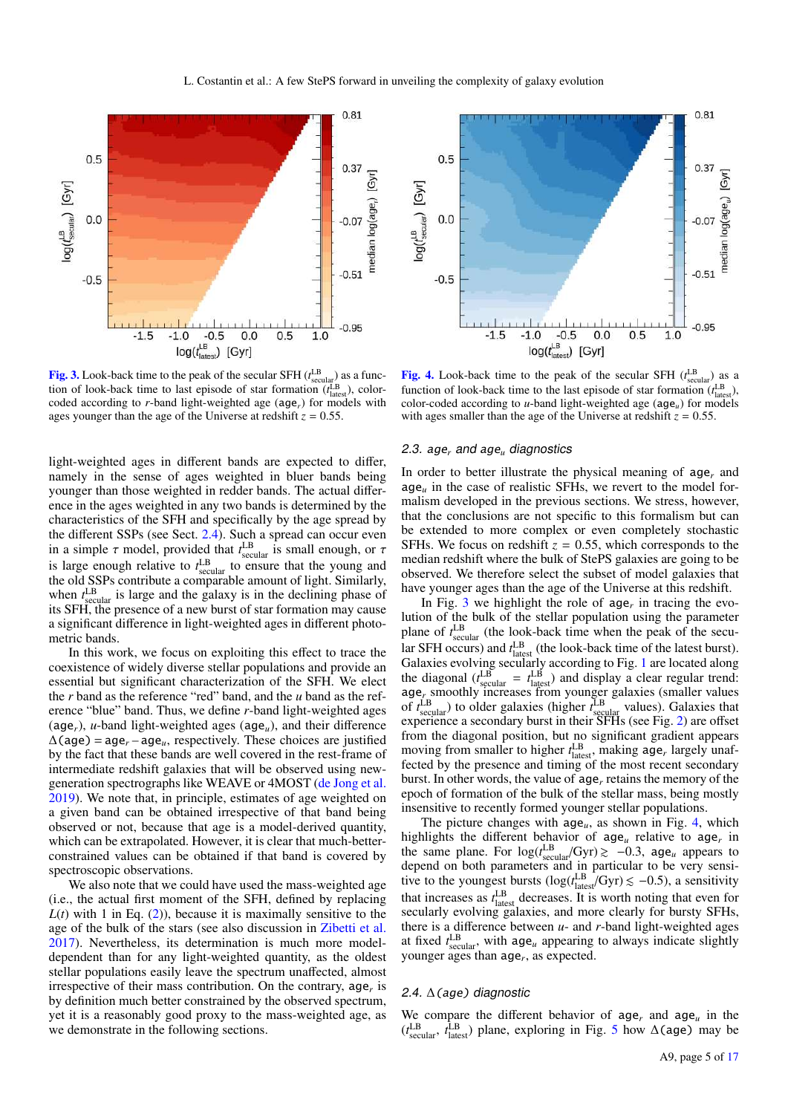

<span id="page-4-1"></span>[Fig. 3.](https://dexter.edpsciences.org/applet.php?DOI=10.1051/0004-6361/201936550&pdf_id=3) Look-back time to the peak of the secular SFH  $(t_{\text{secular}}^{\text{LB}})$  as a function of look-back time to last episode of star formation  $(t_{\text{last}}^{\text{LB}})$ , colorcoded according to  $r$ -band light-weighted age (age<sub>r</sub>) for models with ages younger than the age of the Universe at redshift  $z = 0.55$ .

light-weighted ages in different bands are expected to differ, namely in the sense of ages weighted in bluer bands being younger than those weighted in redder bands. The actual difference in the ages weighted in any two bands is determined by the characteristics of the SFH and specifically by the age spread by the different SSPs (see Sect. [2.4\)](#page-4-0). Such a spread can occur even in a simple  $\tau$  model, provided that  $t_{\text{secular}}^{\text{LB}}$  is small enough, or  $\tau$ <br>is large enough relative to  $t_{\text{LB}}^{\text{LB}}$  to ensure that the young and is large enough relative to  $t_{\text{secular}}^{\text{LB}}$  to ensure that the young and the old SSPs contribute a comparable amount of light. Similarly, when  $t_{\text{secular}}^{\text{LB}}$  is large and the galaxy is in the declining phase of its SFH, the presence of a new burst of star formation may cause a significant difference in light-weighted ages in different photometric bands.

In this work, we focus on exploiting this effect to trace the coexistence of widely diverse stellar populations and provide an essential but significant characterization of the SFH. We elect the *r* band as the reference "red" band, and the *u* band as the reference "blue" band. Thus, we define *r*-band light-weighted ages (age*r*), *u*-band light-weighted ages (age*u*), and their difference  $\Delta$ (age) = age<sub>r</sub> – age<sub>u</sub>, respectively. These choices are justified by the fact that these bands are well covered in the rest-frame of intermediate redshift galaxies that will be observed using newgeneration spectrographs like WEAVE or 4MOST [\(de Jong et al.](#page-15-71) [2019\)](#page-15-71). We note that, in principle, estimates of age weighted on a given band can be obtained irrespective of that band being observed or not, because that age is a model-derived quantity, which can be extrapolated. However, it is clear that much-betterconstrained values can be obtained if that band is covered by spectroscopic observations.

We also note that we could have used the mass-weighted age (i.e., the actual first moment of the SFH, defined by replacing  $L(t)$  with 1 in Eq. [\(2\)](#page-3-2)), because it is maximally sensitive to the age of the bulk of the stars (see also discussion in [Zibetti et al.](#page-15-27) [2017\)](#page-15-27). Nevertheless, its determination is much more modeldependent than for any light-weighted quantity, as the oldest stellar populations easily leave the spectrum unaffected, almost irrespective of their mass contribution. On the contrary, age*<sup>r</sup>* is by definition much better constrained by the observed spectrum, yet it is a reasonably good proxy to the mass-weighted age, as we demonstrate in the following sections.



<span id="page-4-2"></span>[Fig. 4.](https://dexter.edpsciences.org/applet.php?DOI=10.1051/0004-6361/201936550&pdf_id=4) Look-back time to the peak of the secular SFH  $(t_{\text{secular}}^{\text{LB}})$  as a function of look-back time to the last episode of star formation  $(t_{\text{last}}^{\text{LB}})$ , color-coded according to  $u$ -band light-weighted age ( $age<sub>u</sub>$ ) for models with ages smaller than the age of the Universe at redshift  $z = 0.55$ .

#### 2.3. age*<sup>r</sup>* and age*<sup>u</sup>* diagnostics

In order to better illustrate the physical meaning of age*<sup>r</sup>* and age*<sup>u</sup>* in the case of realistic SFHs, we revert to the model formalism developed in the previous sections. We stress, however, that the conclusions are not specific to this formalism but can be extended to more complex or even completely stochastic SFHs. We focus on redshift  $z = 0.55$ , which corresponds to the median redshift where the bulk of StePS galaxies are going to be observed. We therefore select the subset of model galaxies that have younger ages than the age of the Universe at this redshift.

In Fig.  $3$  we highlight the role of  $age<sub>r</sub>$  in tracing the evolution of the bulk of the stellar population using the parameter plane of  $t_{\text{secular}}^{\text{LB}}$  (the look-back time when the peak of the secular SFH occurs) and  $t_{\text{lates}}^{\text{LB}}$  (the look-back time of the latest burst). Galaxies evolving secularly according to Fig. [1](#page-3-0) are located along the diagonal  $(t_{\text{secular}}^{\text{LB}} = t_{\text{lates}}^{\text{LB}})$  and display a clear regular trend: age*<sup>r</sup>* smoothly increases from younger galaxies (smaller values of  $t_{\text{secular}}^{\text{LB}}$ ) to older galaxies (higher  $t_{\text{secular}}^{\text{LB}}$  values). Galaxies that experience a secondary burst in their SFHs (see Fig. [2\)](#page-3-1) are offset from the diagonal position, but no significant gradient appears moving from smaller to higher  $t_{\text{lates}}^{\text{LB}}$ , making age<sub>r</sub> largely unaffected by the presence and timing of the most recent secondary burst. In other words, the value of age*<sup>r</sup>* retains the memory of the epoch of formation of the bulk of the stellar mass, being mostly insensitive to recently formed younger stellar populations.

The picture changes with age*u*, as shown in Fig. [4,](#page-4-2) which highlights the different behavior of age*<sup>u</sup>* relative to age*<sup>r</sup>* in the same plane. For  $log(t_{\text{secular}}^{\text{LB}}/Gyr) \ge -0.3$ , age<sub>*u*</sub> appears to depend on both parameters and in particular to be very sensitive to the youngest bursts ( $log(t<sub>lates</sub>/Gyr) \le -0.5$ ), a sensitivity<br>that increases as  $t<sup>L</sup>B$ , decreases It is worth poting that even for that increases as  $t_{\text{last}}^{\text{LB}}$  decreases. It is worth noting that even for secularly evolving galaxies, and more clearly for bursty SFHs, there is a difference between  $u$ - and  $r$ -band light-weighted ages at fixed  $t_{\text{secular}}^{\text{LB}}$ , with  $\text{age}_u$  appearing to always indicate slightly younger ages than age*<sup>r</sup>* , as expected.

#### <span id="page-4-0"></span>2.4. ∆(age) diagnostic

We compare the different behavior of  $age<sub>r</sub>$  and  $age<sub>u</sub>$  in the  $(t_{\text{secular}}^{\text{LB}}, t_{\text{last}}^{\text{LB}})$  plane, exploring in Fig. [5](#page-5-1) how  $\Delta$ (age) may be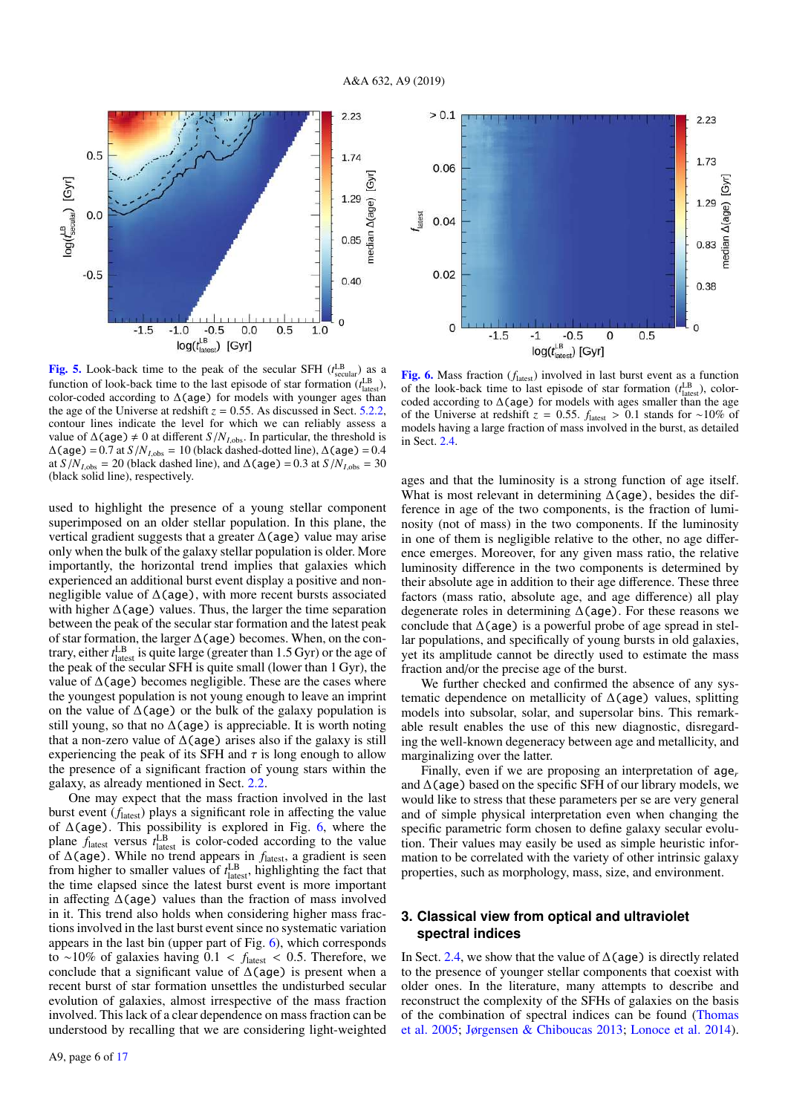

<span id="page-5-1"></span>[Fig. 5.](https://dexter.edpsciences.org/applet.php?DOI=10.1051/0004-6361/201936550&pdf_id=5) Look-back time to the peak of the secular SFH  $(t_{\text{secular}}^{\text{LB}})$  as a function of look-back time to the last episode of star formation  $(t_{\text{lasts}}^{\text{LB}})$ , color-coded according to  $\Delta$ (age) for models with younger ages than the age of the Universe at redshift  $z = 0.55$ . As discussed in Sect. [5.2.2,](#page-11-0) contour lines indicate the level for which we can reliably assess a value of  $\Delta$ (age)  $\neq$  0 at different *S*/*N*<sub>*I*,obs</sub>. In particular, the threshold is  $\Delta$ (age) = 0.7 at *S*/*N*<sub>*I*,obs</sub> = 10 (black dashed-dotted line),  $\Delta$ (age) = 0.4 at  $S/N_{I \text{ obs}} = 20$  (black dashed line), and  $\Delta$ (age) = 0.3 at  $S/N_{I \text{ obs}} = 30$ (black solid line), respectively.

used to highlight the presence of a young stellar component superimposed on an older stellar population. In this plane, the vertical gradient suggests that a greater ∆(age) value may arise only when the bulk of the galaxy stellar population is older. More importantly, the horizontal trend implies that galaxies which experienced an additional burst event display a positive and nonnegligible value of  $\Delta$ (age), with more recent bursts associated with higher ∆(age) values. Thus, the larger the time separation between the peak of the secular star formation and the latest peak of star formation, the larger ∆(age) becomes. When, on the contrary, either  $t_{\text{last}}^{\text{LB}}$  is quite large (greater than 1.5 Gyr) or the age of the peak of the secular SFH is quite small (lower than 1 Gyr), the value of  $\Delta$ (age) becomes negligible. These are the cases where the youngest population is not young enough to leave an imprint on the value of  $\Delta$ (age) or the bulk of the galaxy population is still young, so that no  $\Delta$ (age) is appreciable. It is worth noting that a non-zero value of ∆(age) arises also if the galaxy is still experiencing the peak of its SFH and  $\tau$  is long enough to allow the presence of a significant fraction of young stars within the galaxy, as already mentioned in Sect. [2.2.](#page-3-3)

One may expect that the mass fraction involved in the last burst event ( $f_{\text{latest}}$ ) plays a significant role in affecting the value of  $\Delta$ (age). This possibility is explored in Fig. [6,](#page-5-2) where the plane  $f_{\text{lates}}$  versus  $t_{\text{lates}}^{\text{LB}}$  is color-coded according to the value of ∆(age). While no trend appears in *f*latest, a gradient is seen from higher to smaller values of  $t_{\text{last}}^{\text{LB}}$ , highlighting the fact that the time elapsed since the latest burst event is more important in affecting ∆(age) values than the fraction of mass involved in it. This trend also holds when considering higher mass fractions involved in the last burst event since no systematic variation appears in the last bin (upper part of Fig. [6\)](#page-5-2), which corresponds to <sup>∼</sup>10% of galaxies having 0.<sup>1</sup> <sup>&</sup>lt; *<sup>f</sup>*latest <sup>&</sup>lt; <sup>0</sup>.5. Therefore, we conclude that a significant value of  $\Delta$ (age) is present when a recent burst of star formation unsettles the undisturbed secular evolution of galaxies, almost irrespective of the mass fraction involved. This lack of a clear dependence on mass fraction can be understood by recalling that we are considering light-weighted



<span id="page-5-2"></span>[Fig. 6.](https://dexter.edpsciences.org/applet.php?DOI=10.1051/0004-6361/201936550&pdf_id=6) Mass fraction ( $f_{\text{latest}}$ ) involved in last burst event as a function of the look-back time to last episode of star formation  $(t_{\text{last}}^{\text{LB}})$ , colorcoded according to  $\Delta$ (age) for models with ages smaller than the age of the Universe at redshift *<sup>z</sup>* <sup>=</sup> <sup>0</sup>.55. *<sup>f</sup>*latest <sup>&</sup>gt; <sup>0</sup>.1 stands for <sup>∼</sup>10% of models having a large fraction of mass involved in the burst, as detailed in Sect. [2.4.](#page-4-0)

ages and that the luminosity is a strong function of age itself. What is most relevant in determining ∆(age), besides the difference in age of the two components, is the fraction of luminosity (not of mass) in the two components. If the luminosity in one of them is negligible relative to the other, no age difference emerges. Moreover, for any given mass ratio, the relative luminosity difference in the two components is determined by their absolute age in addition to their age difference. These three factors (mass ratio, absolute age, and age difference) all play degenerate roles in determining  $\Delta$ (age). For these reasons we conclude that  $\Delta$ (age) is a powerful probe of age spread in stellar populations, and specifically of young bursts in old galaxies, yet its amplitude cannot be directly used to estimate the mass fraction and/or the precise age of the burst.

We further checked and confirmed the absence of any systematic dependence on metallicity of ∆(age) values, splitting models into subsolar, solar, and supersolar bins. This remarkable result enables the use of this new diagnostic, disregarding the well-known degeneracy between age and metallicity, and marginalizing over the latter.

Finally, even if we are proposing an interpretation of age*<sup>r</sup>* and ∆(age) based on the specific SFH of our library models, we would like to stress that these parameters per se are very general and of simple physical interpretation even when changing the specific parametric form chosen to define galaxy secular evolution. Their values may easily be used as simple heuristic information to be correlated with the variety of other intrinsic galaxy properties, such as morphology, mass, size, and environment.

# <span id="page-5-0"></span>**3. Classical view from optical and ultraviolet spectral indices**

In Sect. [2.4,](#page-4-0) we show that the value of ∆(age) is directly related to the presence of younger stellar components that coexist with older ones. In the literature, many attempts to describe and reconstruct the complexity of the SFHs of galaxies on the basis of the combination of spectral indices can be found [\(Thomas](#page-15-72) [et al.](#page-15-72) [2005;](#page-15-72) [Jørgensen & Chiboucas](#page-15-73) [2013;](#page-15-73) [Lonoce et al.](#page-15-74) [2014\)](#page-15-74).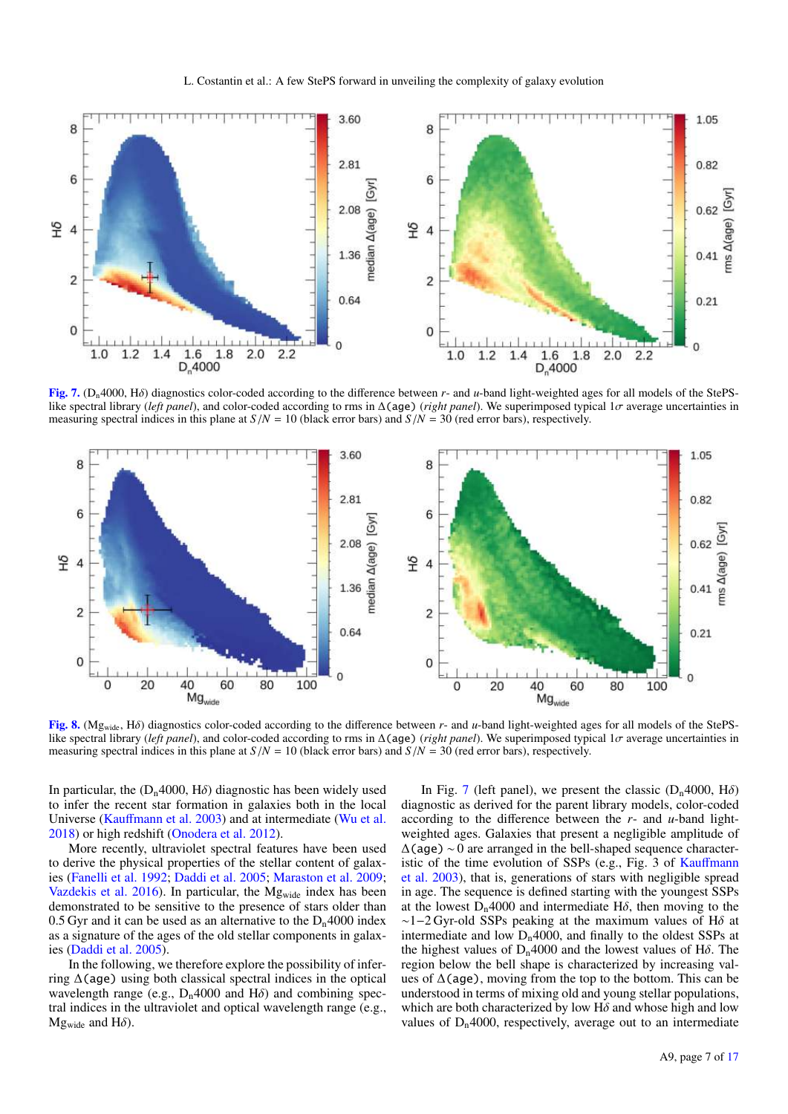

<span id="page-6-0"></span>[Fig. 7.](https://dexter.edpsciences.org/applet.php?DOI=10.1051/0004-6361/201936550&pdf_id=7) (Dn4000, Hδ) diagnostics color-coded according to the difference between *<sup>r</sup>*- and *<sup>u</sup>*-band light-weighted ages for all models of the StePSlike spectral library (*left panel*), and color-coded according to rms in <sup>∆</sup>(age) (*right panel*). We superimposed typical 1σ average uncertainties in measuring spectral indices in this plane at  $S/N = 10$  (black error bars) and  $S/N = 30$  (red error bars), respectively.



<span id="page-6-1"></span>[Fig. 8.](https://dexter.edpsciences.org/applet.php?DOI=10.1051/0004-6361/201936550&pdf_id=8) (Mgwide, Hδ) diagnostics color-coded according to the difference between *<sup>r</sup>*- and *<sup>u</sup>*-band light-weighted ages for all models of the StePSlike spectral library (*left panel*), and color-coded according to rms in <sup>∆</sup>(age) (*right panel*). We superimposed typical 1σ average uncertainties in measuring spectral indices in this plane at  $S/N = 10$  (black error bars) and  $S/N = 30$  (red error bars), respectively.

In particular, the  $(D_n4000, H_0)$  diagnostic has been widely used to infer the recent star formation in galaxies both in the local Universe (Kauff[mann et al.](#page-15-20) [2003\)](#page-15-20) and at intermediate [\(Wu et al.](#page-15-37) [2018\)](#page-15-37) or high redshift [\(Onodera et al.](#page-15-75) [2012\)](#page-15-75).

More recently, ultraviolet spectral features have been used to derive the physical properties of the stellar content of galaxies [\(Fanelli et al.](#page-15-76) [1992;](#page-15-76) [Daddi et al.](#page-15-77) [2005;](#page-15-77) [Maraston et al.](#page-15-78) [2009;](#page-15-78) [Vazdekis et al.](#page-15-45) [2016\)](#page-15-45). In particular, the Mg<sub>wide</sub> index has been demonstrated to be sensitive to the presence of stars older than 0.5 Gyr and it can be used as an alternative to the  $D_n4000$  index as a signature of the ages of the old stellar components in galaxies [\(Daddi et al.](#page-15-77) [2005\)](#page-15-77).

In the following, we therefore explore the possibility of inferring ∆(age) using both classical spectral indices in the optical wavelength range (e.g.,  $D_n4000$  and H $\delta$ ) and combining spectral indices in the ultraviolet and optical wavelength range (e.g.,  $Mg_{wide}$  and  $H\delta$ ).

In Fig. [7](#page-6-0) (left panel), we present the classic  $(D_n4000, H_0)$ diagnostic as derived for the parent library models, color-coded according to the difference between the *r*- and *u*-band lightweighted ages. Galaxies that present a negligible amplitude of  $\Delta$ (age) ~ 0 are arranged in the bell-shaped sequence characteristic of the time evolution of SSPs (e.g., Fig. 3 of Kauff[mann](#page-15-20) [et al.](#page-15-20) [2003\)](#page-15-20), that is, generations of stars with negligible spread in age. The sequence is defined starting with the youngest SSPs at the lowest  $D_n4000$  and intermediate H $\delta$ , then moving to the  $\sim$ 1−2 Gyr-old SSPs peaking at the maximum values of H $\delta$  at intermediate and low  $D_n4000$ , and finally to the oldest SSPs at the highest values of  $D_n4000$  and the lowest values of H $\delta$ . The region below the bell shape is characterized by increasing values of ∆(age), moving from the top to the bottom. This can be understood in terms of mixing old and young stellar populations, which are both characterized by low  $H\delta$  and whose high and low values of  $D_n4000$ , respectively, average out to an intermediate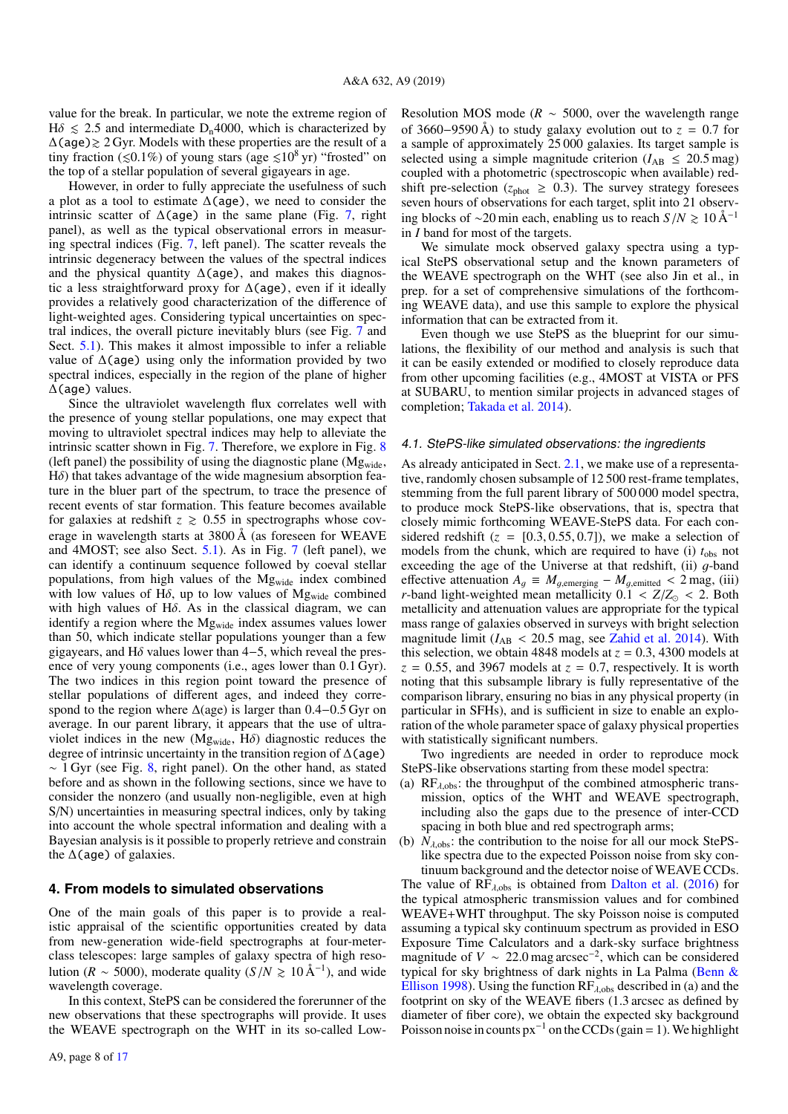value for the break. In particular, we note the extreme region of  $H\delta \leq 2.5$  and intermediate D<sub>n</sub>4000, which is characterized by  $\Delta$ (age) $\geq 2$  Gyr. Models with these properties are the result of a tiny fraction ( $\leq 0.1\%$ ) of young stars (age  $\leq 10^8$  yr) "frosted" on the top of a stellar population of several gigayears in age.

However, in order to fully appreciate the usefulness of such a plot as a tool to estimate ∆(age), we need to consider the intrinsic scatter of  $\Delta$ (age) in the same plane (Fig. [7,](#page-6-0) right panel), as well as the typical observational errors in measuring spectral indices (Fig. [7,](#page-6-0) left panel). The scatter reveals the intrinsic degeneracy between the values of the spectral indices and the physical quantity  $\Delta$ (age), and makes this diagnostic a less straightforward proxy for ∆(age), even if it ideally provides a relatively good characterization of the difference of light-weighted ages. Considering typical uncertainties on spectral indices, the overall picture inevitably blurs (see Fig. [7](#page-6-0) and Sect. [5.1\)](#page-9-1). This makes it almost impossible to infer a reliable value of ∆(age) using only the information provided by two spectral indices, especially in the region of the plane of higher  $\Delta$ (age) values.

Since the ultraviolet wavelength flux correlates well with the presence of young stellar populations, one may expect that moving to ultraviolet spectral indices may help to alleviate the intrinsic scatter shown in Fig. [7.](#page-6-0) Therefore, we explore in Fig. [8](#page-6-1) (left panel) the possibility of using the diagnostic plane ( $Mg_{\text{wide}}$ ).  $H\delta$ ) that takes advantage of the wide magnesium absorption feature in the bluer part of the spectrum, to trace the presence of recent events of star formation. This feature becomes available for galaxies at redshift  $z \geq 0.55$  in spectrographs whose coverage in wavelength starts at 3800 Å (as foreseen for WEAVE and 4MOST; see also Sect. [5.1\)](#page-9-1). As in Fig. [7](#page-6-0) (left panel), we can identify a continuum sequence followed by coeval stellar populations, from high values of the Mg<sub>wide</sub> index combined with low values of H $\delta$ , up to low values of Mg<sub>wide</sub> combined with high values of H $\delta$ . As in the classical diagram, we can identify a region where the  $Mg_{\text{wide}}$  index assumes values lower than 50, which indicate stellar populations younger than a few gigayears, and H $\delta$  values lower than 4–5, which reveal the presence of very young components (i.e., ages lower than 0.1 Gyr). The two indices in this region point toward the presence of stellar populations of different ages, and indeed they correspond to the region where <sup>∆</sup>(age) is larger than 0.4−0.5 Gyr on average. In our parent library, it appears that the use of ultraviolet indices in the new  $(Mg_{wide}, H\delta)$  diagnostic reduces the degree of intrinsic uncertainty in the transition region of ∆(age)  $\sim$  1 Gyr (see Fig. [8,](#page-6-1) right panel). On the other hand, as stated before and as shown in the following sections, since we have to consider the nonzero (and usually non-negligible, even at high S/N) uncertainties in measuring spectral indices, only by taking into account the whole spectral information and dealing with a Bayesian analysis is it possible to properly retrieve and constrain the  $\Delta$ (age) of galaxies.

# <span id="page-7-0"></span>**4. From models to simulated observations**

One of the main goals of this paper is to provide a realistic appraisal of the scientific opportunities created by data from new-generation wide-field spectrographs at four-meterclass telescopes: large samples of galaxy spectra of high resolution ( $R \sim 5000$ ), moderate quality ( $S/N \gtrsim 10 \text{ Å}^{-1}$ ), and wide wavelength coverage wavelength coverage.

In this context, StePS can be considered the forerunner of the new observations that these spectrographs will provide. It uses the WEAVE spectrograph on the WHT in its so-called Low-

A9, page 8 of [17](#page-16-19)

Resolution MOS mode ( $R \sim 5000$ , over the wavelength range of 3660–9590 Å) to study galaxy evolution out to  $z = 0.7$  for a sample of approximately 25 000 galaxies. Its target sample is selected using a simple magnitude criterion ( $I_{AB} \leq 20.5$  mag) coupled with a photometric (spectroscopic when available) redshift pre-selection ( $z_{phot} \geq 0.3$ ). The survey strategy foresees seven hours of observations for each target, split into 21 observing blocks of ~20 min each, enabling us to reach  $S/N \ge 10 \text{ Å}^{-1}$ in *I* band for most of the targets.

We simulate mock observed galaxy spectra using a typical StePS observational setup and the known parameters of the WEAVE spectrograph on the WHT (see also Jin et al., in prep. for a set of comprehensive simulations of the forthcoming WEAVE data), and use this sample to explore the physical information that can be extracted from it.

Even though we use StePS as the blueprint for our simulations, the flexibility of our method and analysis is such that it can be easily extended or modified to closely reproduce data from other upcoming facilities (e.g., 4MOST at VISTA or PFS at SUBARU, to mention similar projects in advanced stages of completion; [Takada et al.](#page-15-79) [2014\)](#page-15-79).

#### <span id="page-7-1"></span>4.1. StePS-like simulated observations: the ingredients

As already anticipated in Sect. [2.1,](#page-2-1) we make use of a representative, randomly chosen subsample of 12 500 rest-frame templates, stemming from the full parent library of 500 000 model spectra, to produce mock StePS-like observations, that is, spectra that closely mimic forthcoming WEAVE-StePS data. For each considered redshift  $(z = [0.3, 0.55, 0.7])$ , we make a selection of models from the chunk, which are required to have  $(i)$   $t_{obs}$  not exceeding the age of the Universe at that redshift, (ii)  $g$ -band effective attenuation  $A_g \equiv M_{g, \text{emerging}} - M_{g, \text{emitted}} < 2 \text{ mag},$  (iii) *r*-band light-weighted mean metallicity  $0.1 < Z/Z_{\odot} < 2$ . Both metallicity and attenuation values are appropriate for the typical mass range of galaxies observed in surveys with bright selection magnitude limit  $(I_{AB} < 20.5$  mag, see [Zahid et al.](#page-15-80) [2014\)](#page-15-80). With this selection, we obtain 4848 models at  $z = 0.3$ , 4300 models at  $z = 0.55$ , and 3967 models at  $z = 0.7$ , respectively. It is worth noting that this subsample library is fully representative of the comparison library, ensuring no bias in any physical property (in particular in SFHs), and is sufficient in size to enable an exploration of the whole parameter space of galaxy physical properties with statistically significant numbers.

Two ingredients are needed in order to reproduce mock StePS-like observations starting from these model spectra:

- (a)  $\text{RF}_{\lambda,obs}$ : the throughput of the combined atmospheric transmission, optics of the WHT and WEAVE spectrograph, including also the gaps due to the presence of inter-CCD spacing in both blue and red spectrograph arms;
- (b)  $N_{\lambda,obs}$ : the contribution to the noise for all our mock StePSlike spectra due to the expected Poisson noise from sky continuum background and the detector noise of WEAVE CCDs. The value of  $RF_{\lambda,obs}$  is obtained from [Dalton et al.](#page-15-81) [\(2016\)](#page-15-81) for the typical atmospheric transmission values and for combined WEAVE+WHT throughput. The sky Poisson noise is computed assuming a typical sky continuum spectrum as provided in ESO Exposure Time Calculators and a dark-sky surface brightness magnitude of *V* ~ 22.0 mag arcsec<sup>-2</sup>, which can be considered<br>typical for sky brightness of dark nights in La Palma (Benn & typical for sky brightness of dark nights in La Palma [\(Benn &](#page-15-82)

[Ellison](#page-15-82) [1998\)](#page-15-82). Using the function  $RF<sub>λ,obs</sub>$  described in (a) and the footprint on sky of the WEAVE fibers (1.3 arcsec as defined by diameter of fiber core), we obtain the expected sky background Poisson noise in counts  $px^{-1}$  on the CCDs (gain = 1). We highlight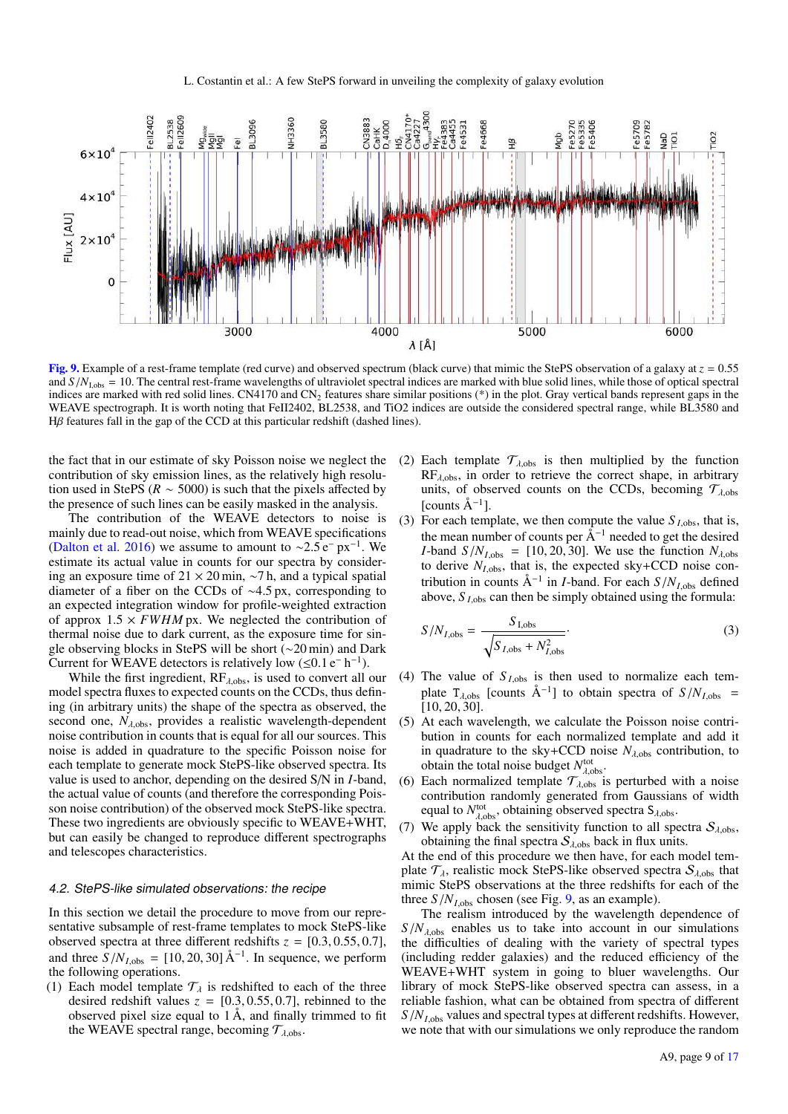

<span id="page-8-0"></span>**[Fig. 9.](https://dexter.edpsciences.org/applet.php?DOI=10.1051/0004-6361/201936550&pdf_id=9)** Example of a rest-frame template (red curve) and observed spectrum (black curve) that mimic the StePS observation of a galaxy at  $z = 0.55$ and  $S/N_{\text{Lobs}} = 10$ . The central rest-frame wavelengths of ultraviolet spectral indices are marked with blue solid lines, while those of optical spectral indices are marked with red solid lines. CN4170 and CN<sub>2</sub> features share similar positions (\*) in the plot. Gray vertical bands represent gaps in the WEAVE spectrograph. It is worth noting that FeII2402, BL2538, and TiO2 indices are outside the considered spectral range, while BL3580 and H $β$  features fall in the gap of the CCD at this particular redshift (dashed lines).

the fact that in our estimate of sky Poisson noise we neglect the contribution of sky emission lines, as the relatively high resolution used in StePS ( $R \sim 5000$ ) is such that the pixels affected by the presence of such lines can be easily masked in the analysis.

The contribution of the WEAVE detectors to noise is mainly due to read-out noise, which from WEAVE specifications [\(Dalton et al.](#page-15-81) [2016\)](#page-15-81) we assume to amount to ~2.5 e<sup>−</sup> px<sup>-1</sup>. We estimate its actual value in counts for our spectra by considering an exposure time of 21 × 20 min, ∼7 h, and a typical spatial diameter of a fiber on the CCDs of ∼4.5 px, corresponding to an expected integration window for profile-weighted extraction of approx  $1.5 \times FWHM$  px. We neglected the contribution of thermal noise due to dark current, as the exposure time for single observing blocks in StePS will be short (∼20 min) and Dark Current for WEAVE detectors is relatively low  $(\leq 0.1 e^{-h^{-1}})$ .<br>While the first ingredient RF<sub>1 ake</sub> is used to convert all

While the first ingredient,  $RF<sub>does</sub>$ , is used to convert all our model spectra fluxes to expected counts on the CCDs, thus defining (in arbitrary units) the shape of the spectra as observed, the second one,  $N_{\lambda,obs}$ , provides a realistic wavelength-dependent noise contribution in counts that is equal for all our sources. This noise is added in quadrature to the specific Poisson noise for each template to generate mock StePS-like observed spectra. Its value is used to anchor, depending on the desired S/N in *I*-band, the actual value of counts (and therefore the corresponding Poisson noise contribution) of the observed mock StePS-like spectra. These two ingredients are obviously specific to WEAVE+WHT, but can easily be changed to reproduce different spectrographs and telescopes characteristics.

#### <span id="page-8-1"></span>4.2. StePS-like simulated observations: the recipe

In this section we detail the procedure to move from our representative subsample of rest-frame templates to mock StePS-like observed spectra at three different redshifts  $z = [0.3, 0.55, 0.7]$ , and three  $S/N_{I,obs} = [10, 20, 30] \text{ Å}^{-1}$ . In sequence, we perform the following operations the following operations.

(1) Each model template  $\mathcal{T}_{\lambda}$  is redshifted to each of the three desired redshift values  $z = [0.3, 0.55, 0.7]$ , rebinned to the observed pixel size equal to  $1 \text{ Å}$ , and finally trimmed to fit the WEAVE spectral range, becoming  $\mathcal{T}_{\lambda,obs}$ .

- (2) Each template  $\mathcal{T}_{\lambda,obs}$  is then multiplied by the function  $RF_{\lambda}$ <sub>obs</sub>, in order to retrieve the correct shape, in arbitrary units, of observed counts on the CCDs, becoming  $\mathcal{T}_{\lambda,obs}$ [counts  $\AA^{-1}$ ].
- (3) For each template, we then compute the value  $S_{I,obs}$ , that is, the mean number of counts per  $Å^{-1}$  needed to get the desired *I*-band  $S/N_{I,obs} = [10, 20, 30]$ . We use the function  $N_{\lambda,obs}$ to derive  $N_{I,obs}$ , that is, the expected sky+CCD noise contribution in counts  $\mathring{A}^{-1}$  in *I*-band. For each  $S/N_{I,obs}$  defined above  $S_{I,obs}$  can then be simply obtained using the formula: above, *<sup>S</sup> <sup>I</sup>*,obs can then be simply obtained using the formula:

$$
S/N_{I,obs} = \frac{S_{I,obs}}{\sqrt{S_{I,obs} + N_{I,obs}^2}}.\tag{3}
$$

- (4) The value of  $S_{I,obs}$  is then used to normalize each template  $T_{\lambda,obs}$  [counts Å<sup>-1</sup>] to obtain spectra of  $S/N_{I,obs}$  = [10.20.30] [10, <sup>20</sup>, 30].
- (5) At each wavelength, we calculate the Poisson noise contribution in counts for each normalized template and add it in quadrature to the sky+CCD noise  $N_{\lambda,obs}$  contribution, to obtain the total noise budget  $N_{\lambda,obs}^{tot}$ .<br>Each normalized template  $\tau_{\lambda}$ , i
- (6) Each normalized template  $\mathcal{T}_{\lambda,obs}$  is perturbed with a noise contribution randomly generated from Gaussians of width equal to  $N_{\text{a,obs}}^{\text{tot}}$ , obtaining observed spectra  $S_{\text{a,obs}}$ .<br>We apply hack the sensitivity function to all spectral
- (7) We apply back the sensitivity function to all spectra  $S_{\lambda,obs}$ , obtaining the final spectra  $S_{\lambda,obs}$  back in flux units.

At the end of this procedure we then have, for each model template  $\mathcal{T}_{\lambda}$ , realistic mock StePS-like observed spectra  $\mathcal{S}_{\lambda,obs}$  that mimic StePS observations at the three redshifts for each of the three  $S/N_{I,obs}$  chosen (see Fig. [9,](#page-8-0) as an example).

The realism introduced by the wavelength dependence of  $S/N_{\lambda,obs}$  enables us to take into account in our simulations the difficulties of dealing with the variety of spectral types (including redder galaxies) and the reduced efficiency of the WEAVE+WHT system in going to bluer wavelengths. Our library of mock StePS-like observed spectra can assess, in a reliable fashion, what can be obtained from spectra of different *<sup>S</sup>*/*N<sup>I</sup>*,obs values and spectral types at different redshifts. However, we note that with our simulations we only reproduce the random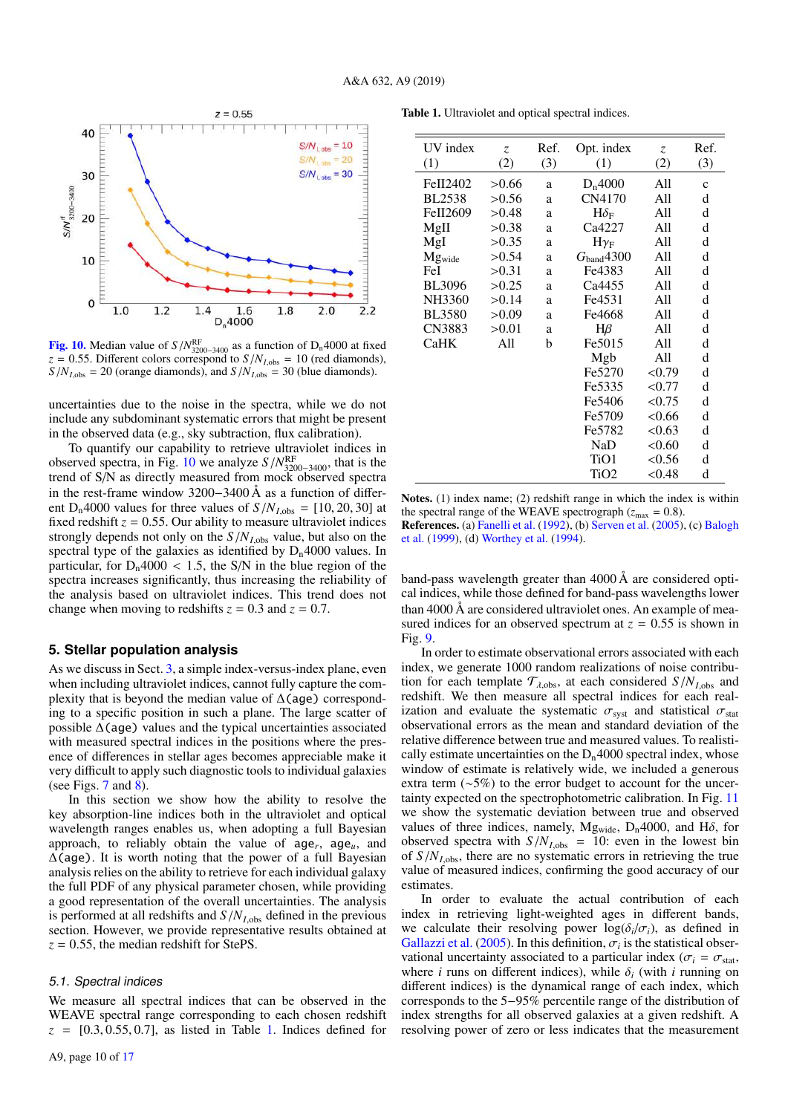

<span id="page-9-2"></span>**[Fig. 10.](https://dexter.edpsciences.org/applet.php?DOI=10.1051/0004-6361/201936550&pdf_id=10)** Median value of  $S/N_{\text{2200-3400}}^{\text{RF}}$  as a function of D<sub>n</sub>4000 at fixed  $z = 0.55$  Different colors correspond to  $S/N_{\text{max}} = 10$  (red diamonds)  $z = 0.55$ . Different colors correspond to  $S/N_{I,obs} = 10$  (red diamonds),  $S/N_{I,1} = 20$  (orange diamonds) and  $S/N_{I,1} = 30$  (blue diamonds)  $S/N_{I,obs} = 20$  (orange diamonds), and  $S/N_{I,obs} = 30$  (blue diamonds).

uncertainties due to the noise in the spectra, while we do not include any subdominant systematic errors that might be present in the observed data (e.g., sky subtraction, flux calibration).

To quantify our capability to retrieve ultraviolet indices in observed spectra, in Fig. [10](#page-9-2) we analyze  $S/N_{3200-3400}^{\text{RF}}$ , that is the trend of *S/N* as directly measured from mock observed spectra trend of S/N as directly measured from mock observed spectra in the rest-frame window 3200−3400 Å as a function of different  $D_n4000$  values for three values of  $S/N_{I,obs} = [10, 20, 30]$  at fixed redshift  $z = 0.55$ . Our ability to measure ultraviolet indices strongly depends not only on the *<sup>S</sup>*/*N<sup>I</sup>*,obs value, but also on the spectral type of the galaxies as identified by  $D_n4000$  values. In particular, for  $D_n4000 < 1.5$ , the S/N in the blue region of the spectra increases significantly, thus increasing the reliability of the analysis based on ultraviolet indices. This trend does not change when moving to redshifts  $z = 0.3$  and  $z = 0.7$ .

## <span id="page-9-0"></span>**5. Stellar population analysis**

As we discuss in Sect. [3,](#page-5-0) a simple index-versus-index plane, even when including ultraviolet indices, cannot fully capture the complexity that is beyond the median value of ∆(age) corresponding to a specific position in such a plane. The large scatter of possible ∆(age) values and the typical uncertainties associated with measured spectral indices in the positions where the presence of differences in stellar ages becomes appreciable make it very difficult to apply such diagnostic tools to individual galaxies (see Figs.  $7$  and  $8$ ).

In this section we show how the ability to resolve the key absorption-line indices both in the ultraviolet and optical wavelength ranges enables us, when adopting a full Bayesian approach, to reliably obtain the value of age*<sup>r</sup>* , age*u*, and ∆(age). It is worth noting that the power of a full Bayesian analysis relies on the ability to retrieve for each individual galaxy the full PDF of any physical parameter chosen, while providing a good representation of the overall uncertainties. The analysis is performed at all redshifts and *<sup>S</sup>*/*N<sup>I</sup>*,obs defined in the previous section. However, we provide representative results obtained at  $z = 0.55$ , the median redshift for StePS.

#### <span id="page-9-1"></span>5.1. Spectral indices

We measure all spectral indices that can be observed in the WEAVE spectral range corresponding to each chosen redshift  $z = [0.3, 0.55, 0.7]$ , as listed in Table [1.](#page-9-3) Indices defined for

<span id="page-9-3"></span>Table 1. Ultraviolet and optical spectral indices.

| UV index<br>(1) | Z.<br>(2) | Ref.<br>(3) | Opt. index<br>(1)            | Z.<br>(2) | Ref.<br>(3) |
|-----------------|-----------|-------------|------------------------------|-----------|-------------|
| FeII2402        | >0.66     | a           | $D_n4000$                    | All       | $\ddot{c}$  |
| <b>BL2538</b>   | >0.56     | a           | CN4170                       | A11       | d           |
| FeII2609        | >0.48     | a           | ${ {\rm H}{\delta}_{\rm F}}$ | All       | d           |
| MgII            | >0.38     | a           | Ca4227                       | All       | d           |
| MgI             | >0.35     | a           | $H\gamma_F$                  | All       | d           |
| $Mg_{wide}$     | >0.54     | a           | $Gband$ 4300                 | All       | d           |
| FeI             | >0.31     | a           | Fe4383                       | A11       | d           |
| <b>BL3096</b>   | >0.25     | a           | Ca4455                       | All       | d           |
| NH3360          | >0.14     | a           | Fe4531                       | A11       | d           |
| <b>BL3580</b>   | >0.09     | a           | Fe4668                       | All       | d           |
| CN3883          | >0.01     | a           | $H\beta$                     | All       | d           |
| CaHK            | All       | b           | Fe5015                       | All       | d           |
|                 |           |             | Mgb                          | A11       | d           |
|                 |           |             | Fe5270                       | < 0.79    | d           |
|                 |           |             | Fe5335                       | < 0.77    | d           |
|                 |           |             | Fe5406                       | < 0.75    | d           |
|                 |           |             | Fe5709                       | < 0.66    | d           |
|                 |           |             | Fe5782                       | < 0.63    | d           |
|                 |           |             | <b>NaD</b>                   | < 0.60    | d           |
|                 |           |             | TiO1                         | < 0.56    | d           |
|                 |           |             | TiO <sub>2</sub>             | < 0.48    | d           |

Notes. (1) index name; (2) redshift range in which the index is within the spectral range of the WEAVE spectrograph ( $z_{\text{max}} = 0.8$ ). References. (a) [Fanelli et al.](#page-15-76) [\(1992\)](#page-15-76), (b) [Serven et al.](#page-15-83) [\(2005\)](#page-15-83), (c) [Balogh](#page-15-84) [et al.](#page-15-84) [\(1999\)](#page-15-84), (d) [Worthey et al.](#page-15-85) [\(1994\)](#page-15-85).

band-pass wavelength greater than 4000 Å are considered optical indices, while those defined for band-pass wavelengths lower than 4000 Å are considered ultraviolet ones. An example of measured indices for an observed spectrum at  $z = 0.55$  is shown in Fig. [9.](#page-8-0)

In order to estimate observational errors associated with each index, we generate 1000 random realizations of noise contribution for each template  $\mathcal{T}_{\lambda,obs}$ , at each considered  $S/N_{I,obs}$  and redshift. We then measure all spectral indices for each realization and evaluate the systematic  $\sigma_{syst}$  and statistical  $\sigma_{stat}$ observational errors as the mean and standard deviation of the relative difference between true and measured values. To realistically estimate uncertainties on the  $D_n4000$  spectral index, whose window of estimate is relatively wide, we included a generous extra term (∼5%) to the error budget to account for the uncertainty expected on the spectrophotometric calibration. In Fig. [11](#page-10-1) we show the systematic deviation between true and observed values of three indices, namely,  $Mg_{wide}$ ,  $D_n4000$ , and  $H\delta$ , for observed spectra with  $S/N_{I,obs} = 10$ : even in the lowest bin of  $S/N_{I,obs}$ , there are no systematic errors in retrieving the true value of measured indices, confirming the good accuracy of our estimates.

In order to evaluate the actual contribution of each index in retrieving light-weighted ages in different bands, we calculate their resolving power  $log(\delta_i/\sigma_i)$ , as defined in Gallazzi et al. (2005) In this definition  $\sigma_i$  is the statistical obser-[Gallazzi et al.](#page-15-49) [\(2005\)](#page-15-49). In this definition,  $\sigma_i$  is the statistical observational uncertainty associated to a particular index ( $\sigma_i = \sigma_{\text{max}}$ ) vational uncertainty associated to a particular index ( $\sigma_i = \sigma_{\text{stat}}$ , where *i* runs on different indices), while  $\delta_i$  (with *i* running on different indices) is the dynamical range of each index, which corresponds to the 5−95% percentile range of the distribution of index strengths for all observed galaxies at a given redshift. A resolving power of zero or less indicates that the measurement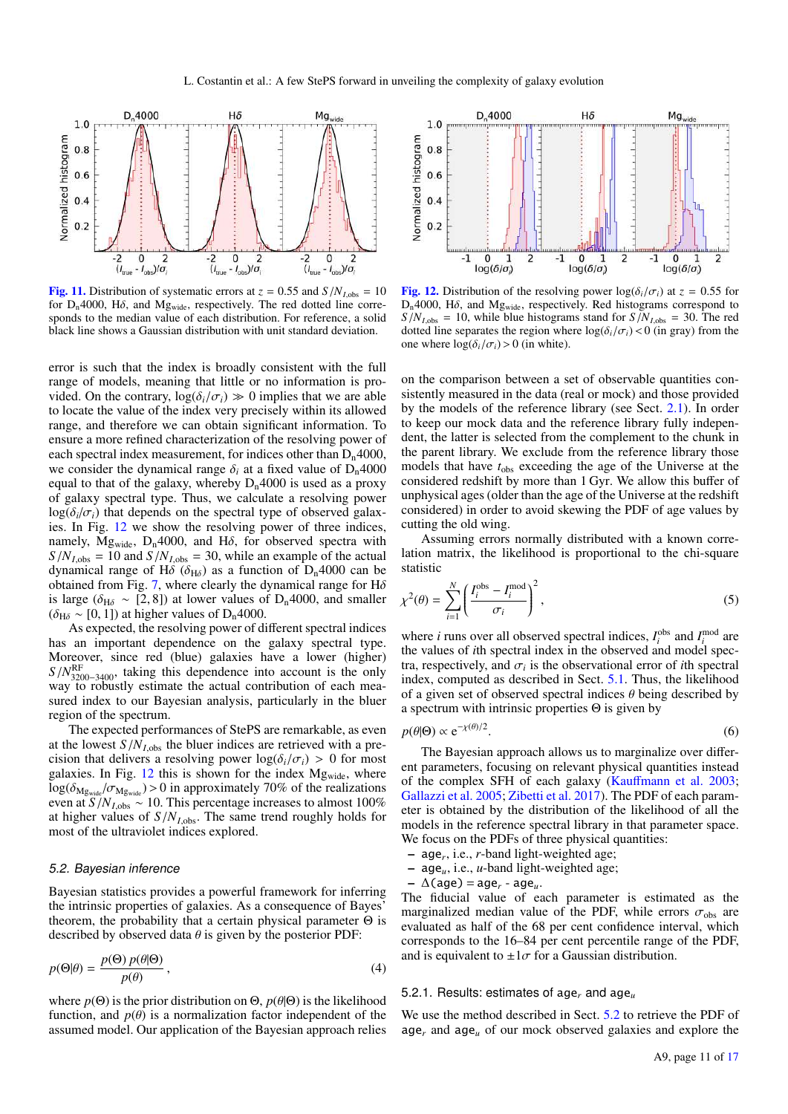

<span id="page-10-1"></span>**[Fig. 11.](https://dexter.edpsciences.org/applet.php?DOI=10.1051/0004-6361/201936550&pdf_id=11)** Distribution of systematic errors at  $z = 0.55$  and  $S/N_{I,obs} = 10$ for  $D_n4000$ , H $\delta$ , and Mg<sub>wide</sub>, respectively. The red dotted line corresponds to the median value of each distribution. For reference, a solid black line shows a Gaussian distribution with unit standard deviation.

error is such that the index is broadly consistent with the full range of models, meaning that little or no information is provided. On the contrary,  $log(\delta_i/\sigma_i) \gg 0$  implies that we are able to locate the value of the index very precisely within its allowed range, and therefore we can obtain significant information. To ensure a more refined characterization of the resolving power of each spectral index measurement, for indices other than  $D_n4000$ , we consider the dynamical range  $\delta_i$  at a fixed value of  $D_n4000$ equal to that of the galaxy, whereby  $D_n4000$  is used as a proxy of galaxy spectral type. Thus, we calculate a resolving power  $log(\delta_i/\sigma_i)$  that depends on the spectral type of observed galax-<br>ies In Fig. 12 we show the resolving power of three indices ies. In Fig. [12](#page-10-2) we show the resolving power of three indices, namely,  $Mg_{wide}$ ,  $D_n4000$ , and  $H\delta$ , for observed spectra with  $S/N_{I,obs} = 10$  and  $S/N_{I,obs} = 30$ , while an example of the actual dynamical range of H $\delta$  ( $\delta$ <sub>H $\delta$ </sub>) as a function of D<sub>n</sub>4000 can be obtained from Fig. [7,](#page-6-0) where clearly the dynamical range for  $H\delta$ is large ( $\delta_{H\delta} \sim [2, 8]$ ) at lower values of D<sub>n</sub>4000, and smaller ( $\delta_{H\delta} \sim [0, 1]$ ) at higher values of D<sub>n</sub>4000.

As expected, the resolving power of different spectral indices has an important dependence on the galaxy spectral type. Moreover, since red (blue) galaxies have a lower (higher)  $S/N_{3200-3400}^{\text{RF}}$ , taking this dependence into account is the only way to robustly estimate the actual contribution of each meaway to robustly estimate the actual contribution of each measured index to our Bayesian analysis, particularly in the bluer region of the spectrum.

The expected performances of StePS are remarkable, as even at the lowest  $S/N_{I,obs}$  the bluer indices are retrieved with a precision that delivers a resolving power  $log(\delta_i/\sigma_i) > 0$  for most galaxies. In Fig.  $12$  this is shown for the index  $Mg_{\text{wide}}$ , where  $log(\delta_{Mg_{\text{wide}}}/\sigma_{Mg_{\text{wide}}}) > 0$  in approximately 70% of the realizations even at  $S/N_{I,obs} \sim 10$ . This percentage increases to almost 100% at higher values of  $S/N_{I,obs}$ . The same trend roughly holds for most of the ultraviolet indices explored.

## <span id="page-10-0"></span>5.2. Bayesian inference

Bayesian statistics provides a powerful framework for inferring the intrinsic properties of galaxies. As a consequence of Bayes' theorem, the probability that a certain physical parameter Θ is described by observed data  $\theta$  is given by the posterior PDF:

$$
p(\Theta|\theta) = \frac{p(\Theta) p(\theta|\Theta)}{p(\theta)},
$$
\n(4)

where  $p(\Theta)$  is the prior distribution on  $\Theta$ ,  $p(\theta|\Theta)$  is the likelihood function, and  $p(\theta)$  is a normalization factor independent of the assumed model. Our application of the Bayesian approach relies



<span id="page-10-2"></span>[Fig. 12.](https://dexter.edpsciences.org/applet.php?DOI=10.1051/0004-6361/201936550&pdf_id=12) Distribution of the resolving power  $\log(\delta_i/\sigma_i)$  at  $z = 0.55$  for <sup>D</sup>n4000, Hδ, and Mgwide, respectively. Red histograms correspond to  $S/N_{I,obs} = 10$ , while blue histograms stand for  $S/N_{I,obs} = 30$ . The red dotted line separates the region where  $log(\delta_i/\sigma_i) < 0$  (in gray) from the one where  $log(\delta_i/\sigma_i) > 0$  (in white).

on the comparison between a set of observable quantities consistently measured in the data (real or mock) and those provided by the models of the reference library (see Sect. [2.1\)](#page-2-1). In order to keep our mock data and the reference library fully independent, the latter is selected from the complement to the chunk in the parent library. We exclude from the reference library those models that have  $t_{obs}$  exceeding the age of the Universe at the considered redshift by more than 1 Gyr. We allow this buffer of unphysical ages (older than the age of the Universe at the redshift considered) in order to avoid skewing the PDF of age values by cutting the old wing.

Assuming errors normally distributed with a known correlation matrix, the likelihood is proportional to the chi-square statistic

$$
\chi^2(\theta) = \sum_{i=1}^N \left( \frac{I_i^{\text{obs}} - I_i^{\text{mod}}}{\sigma_i} \right)^2, \tag{5}
$$

where *i* runs over all observed spectral indices,  $I_i^{\text{obs}}$  and  $I_i^{\text{mod}}$  are the values of *i*th spectral index in the observed and model spectra, respectively, and  $\sigma_i$  is the observational error of *i*th spectral index computed as described in Sect 5.1. Thus the likelihood index, computed as described in Sect. [5.1.](#page-9-1) Thus, the likelihood of a given set of observed spectral indices  $\theta$  being described by a spectrum with intrinsic properties  $\Theta$  is given by

$$
p(\theta|\Theta) \propto e^{-\chi(\theta)/2}.\tag{6}
$$

The Bayesian approach allows us to marginalize over different parameters, focusing on relevant physical quantities instead of the complex SFH of each galaxy (Kauff[mann et al.](#page-15-20) [2003;](#page-15-20) [Gallazzi et al.](#page-15-49) [2005;](#page-15-49) [Zibetti et al.](#page-15-27) [2017\)](#page-15-27). The PDF of each parameter is obtained by the distribution of the likelihood of all the models in the reference spectral library in that parameter space. We focus on the PDFs of three physical quantities:

- age*<sup>r</sup>* , i.e., *r*-band light-weighted age;
- age*u*, i.e., *u*-band light-weighted age;
- ∆(age) = age*<sup>r</sup>* age*u*.

The fiducial value of each parameter is estimated as the marginalized median value of the PDF, while errors  $\sigma_{obs}$  are evaluated as half of the 68 per cent confidence interval, which corresponds to the 16–84 per cent percentile range of the PDF, and is equivalent to  $\pm 1\sigma$  for a Gaussian distribution.

# 5.2.1. Results: estimates of age*<sup>r</sup>* and age*<sup>u</sup>*

We use the method described in Sect. [5.2](#page-10-0) to retrieve the PDF of age*<sup>r</sup>* and age*<sup>u</sup>* of our mock observed galaxies and explore the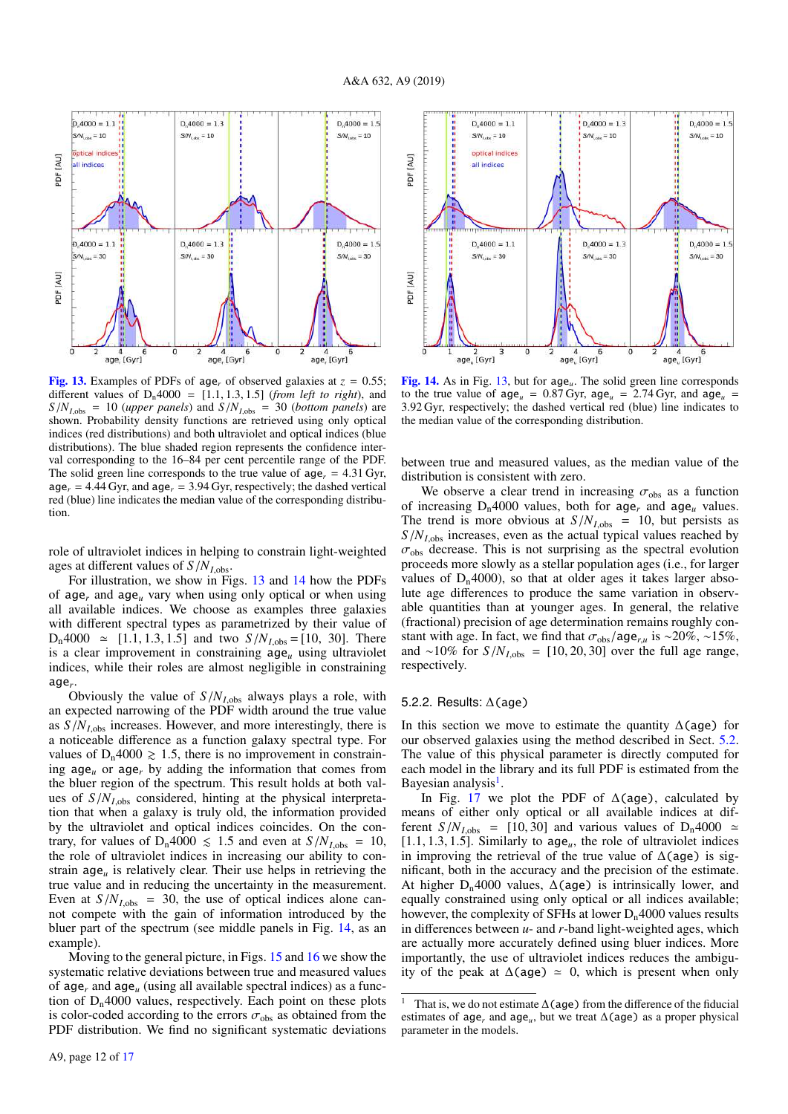

<span id="page-11-1"></span>[Fig. 13.](https://dexter.edpsciences.org/applet.php?DOI=10.1051/0004-6361/201936550&pdf_id=13) Examples of PDFs of age<sub>r</sub> of observed galaxies at  $z = 0.55$ ; different values of  $D_n4000 = [1.1, 1.3, 1.5]$  (*from left to right*), and  $S/N_{I,obs} = 10$  (*upper panels*) and  $S/N_{I,obs} = 30$  (*bottom panels*) are shown. Probability density functions are retrieved using only optical indices (red distributions) and both ultraviolet and optical indices (blue distributions). The blue shaded region represents the confidence interval corresponding to the 16–84 per cent percentile range of the PDF. The solid green line corresponds to the true value of  $age_r = 4.31 Gyr$ , age<sub>r</sub> =  $4.\overline{44}$  Gyr, and age<sub>r</sub> =  $3.94$  Gyr, respectively; the dashed vertical red (blue) line indicates the median value of the corresponding distribution.

role of ultraviolet indices in helping to constrain light-weighted ages at different values of *<sup>S</sup>*/*N<sup>I</sup>*,obs.

For illustration, we show in Figs. [13](#page-11-1) and [14](#page-11-2) how the PDFs of age*<sup>r</sup>* and age*<sup>u</sup>* vary when using only optical or when using all available indices. We choose as examples three galaxies with different spectral types as parametrized by their value of  $D_n4000 \approx [1.1, 1.3, 1.5]$  and two  $S/N_{I,obs} = [10, 30]$ . There is a clear improvement in constraining age*<sup>u</sup>* using ultraviolet indices, while their roles are almost negligible in constraining age*<sup>r</sup>* .

Obviously the value of  $S/N_{I,obs}$  always plays a role, with expected parrowing of the PDF width around the true value an expected narrowing of the PDF width around the true value as  $S/N_{I,obs}$  increases. However, and more interestingly, there is a noticeable difference as a function galaxy spectral type. For values of  $D_n4000 \ge 1.5$ , there is no improvement in constraining age*<sup>u</sup>* or age*<sup>r</sup>* by adding the information that comes from the bluer region of the spectrum. This result holds at both values of *<sup>S</sup>*/*N<sup>I</sup>*,obs considered, hinting at the physical interpretation that when a galaxy is truly old, the information provided by the ultraviolet and optical indices coincides. On the contrary, for values of  $D_n4000 \le 1.5$  and even at  $S/N_{Lobs} = 10$ , the role of ultraviolet indices in increasing our ability to constrain  $age<sub>u</sub>$  is relatively clear. Their use helps in retrieving the true value and in reducing the uncertainty in the measurement. Even at  $S/N_{I,obs}$  = 30, the use of optical indices alone cannot compete with the gain of information introduced by the bluer part of the spectrum (see middle panels in Fig. [14,](#page-11-2) as an example).

Moving to the general picture, in Figs. [15](#page-12-0) and [16](#page-12-1) we show the systematic relative deviations between true and measured values of age*<sup>r</sup>* and age*<sup>u</sup>* (using all available spectral indices) as a function of  $D_n4000$  values, respectively. Each point on these plots is color-coded according to the errors  $\sigma_{obs}$  as obtained from the PDF distribution. We find no significant systematic deviations



<span id="page-11-2"></span>[Fig. 14.](https://dexter.edpsciences.org/applet.php?DOI=10.1051/0004-6361/201936550&pdf_id=14) As in Fig. [13,](#page-11-1) but for age*u*. The solid green line corresponds to the true value of  $age_u = 0.87 \text{ Gyr}$ ,  $age_u = 2.74 \text{ Gyr}$ , and  $age_u =$ <sup>3</sup>.92 Gyr, respectively; the dashed vertical red (blue) line indicates to the median value of the corresponding distribution.

between true and measured values, as the median value of the distribution is consistent with zero.

We observe a clear trend in increasing  $\sigma_{obs}$  as a function of increasing  $D_n4000$  values, both for age<sub>r</sub> and age<sub>u</sub> values. The trend is more obvious at  $S/N_{I,obs}$  = 10, but persists as  $S/N_{I,obs}$  increases, even as the actual typical values reached by  $\sigma_{obs}$  decrease. This is not surprising as the spectral evolution proceeds more slowly as a stellar population ages (i.e., for larger values of  $D_n4000$ , so that at older ages it takes larger absolute age differences to produce the same variation in observable quantities than at younger ages. In general, the relative (fractional) precision of age determination remains roughly constant with age. In fact, we find that  $\sigma_{obs}/age_{r,u}$  is ~20%, ~15%, and ~10% for  $S/N_{I,obs} = [10, 20, 30]$  over the full age range, respectively.

## <span id="page-11-0"></span>5.2.2. Results: ∆(age)

In this section we move to estimate the quantity  $\Delta$ (age) for our observed galaxies using the method described in Sect. [5.2.](#page-10-0) The value of this physical parameter is directly computed for each model in the library and its full PDF is estimated from the Bayesian analysis<sup>[1](#page-11-3)</sup>.

In Fig. [17](#page-12-2) we plot the PDF of  $\Delta$ (age), calculated by means of either only optical or all available indices at different  $S/N_{I,obs}$  = [10,30] and various values of D<sub>n</sub>4000  $\approx$  $[1.1, 1.3, 1.5]$ . Similarly to  $age_u$ , the role of ultraviolet indices in improving the retrieval of the true value of  $\Delta$ (age) is significant, both in the accuracy and the precision of the estimate. At higher  $D_n4000$  values,  $\Delta$ (age) is intrinsically lower, and equally constrained using only optical or all indices available; however, the complexity of SFHs at lower  $D_n4000$  values results in differences between *u*- and *r*-band light-weighted ages, which are actually more accurately defined using bluer indices. More importantly, the use of ultraviolet indices reduces the ambiguity of the peak at  $\Delta$ (age)  $\simeq$  0, which is present when only

<span id="page-11-3"></span>That is, we do not estimate  $\Delta$ (age) from the difference of the fiducial estimates of age<sub>r</sub> and age<sub>*u*</sub>, but we treat  $\Delta$ (age) as a proper physical parameter in the models.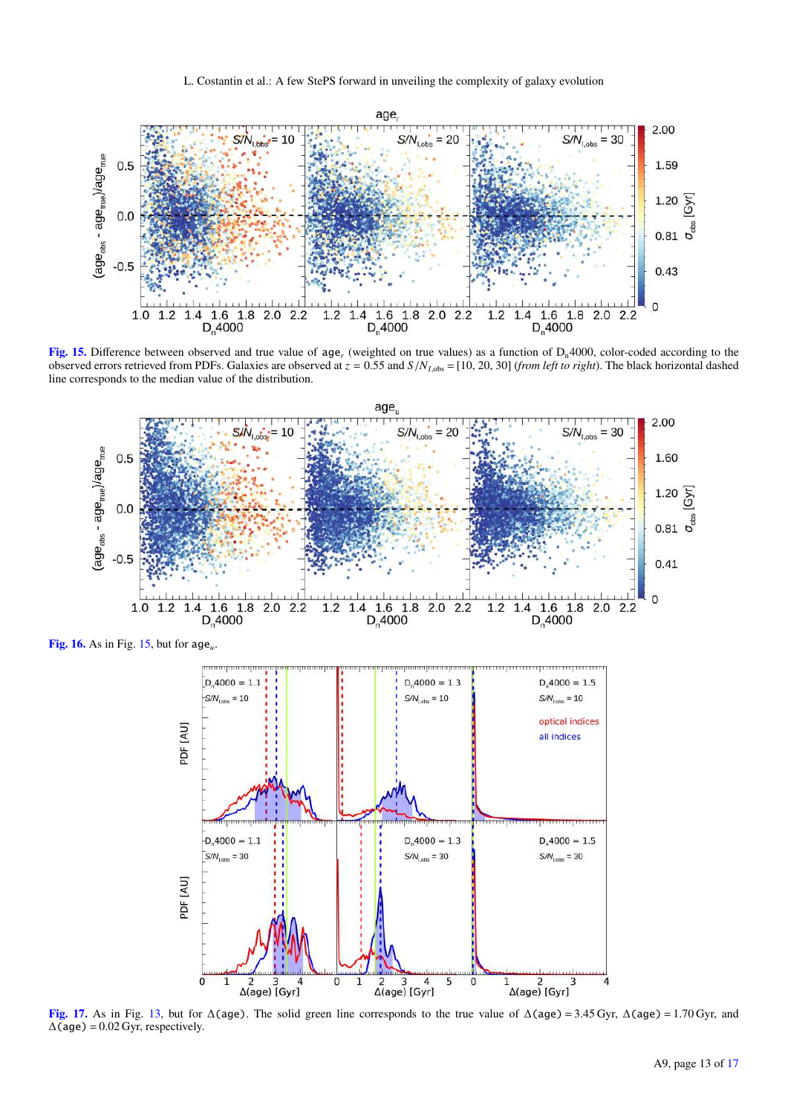L. Costantin et al.: A few StePS forward in unveiling the complexity of galaxy evolution



<span id="page-12-0"></span>[Fig. 15.](https://dexter.edpsciences.org/applet.php?DOI=10.1051/0004-6361/201936550&pdf_id=15) Difference between observed and true value of age<sub>r</sub> (weighted on true values) as a function of D<sub>n</sub>4000, color-coded according to the observed errors retrieved from PDFs. Galaxies are observed at *<sup>z</sup>* <sup>=</sup> <sup>0</sup>.55 and *<sup>S</sup>*/*N<sup>I</sup>*,obs <sup>=</sup> [10, 20, 30] (*from left to right*). The black horizontal dashed line corresponds to the median value of the distribution.



<span id="page-12-1"></span>[Fig. 16.](https://dexter.edpsciences.org/applet.php?DOI=10.1051/0004-6361/201936550&pdf_id=16) As in Fig. [15,](#page-12-0) but for age*u*.



<span id="page-12-2"></span>[Fig. 17.](https://dexter.edpsciences.org/applet.php?DOI=10.1051/0004-6361/201936550&pdf_id=17) As in Fig. [13,](#page-11-1) but for  $\Delta$ (age). The solid green line corresponds to the true value of  $\Delta$ (age) = 3.45 Gyr,  $\Delta$ (age) = 1.70 Gyr, and  $\Delta$ (age) = 0.02 Gyr, respectively.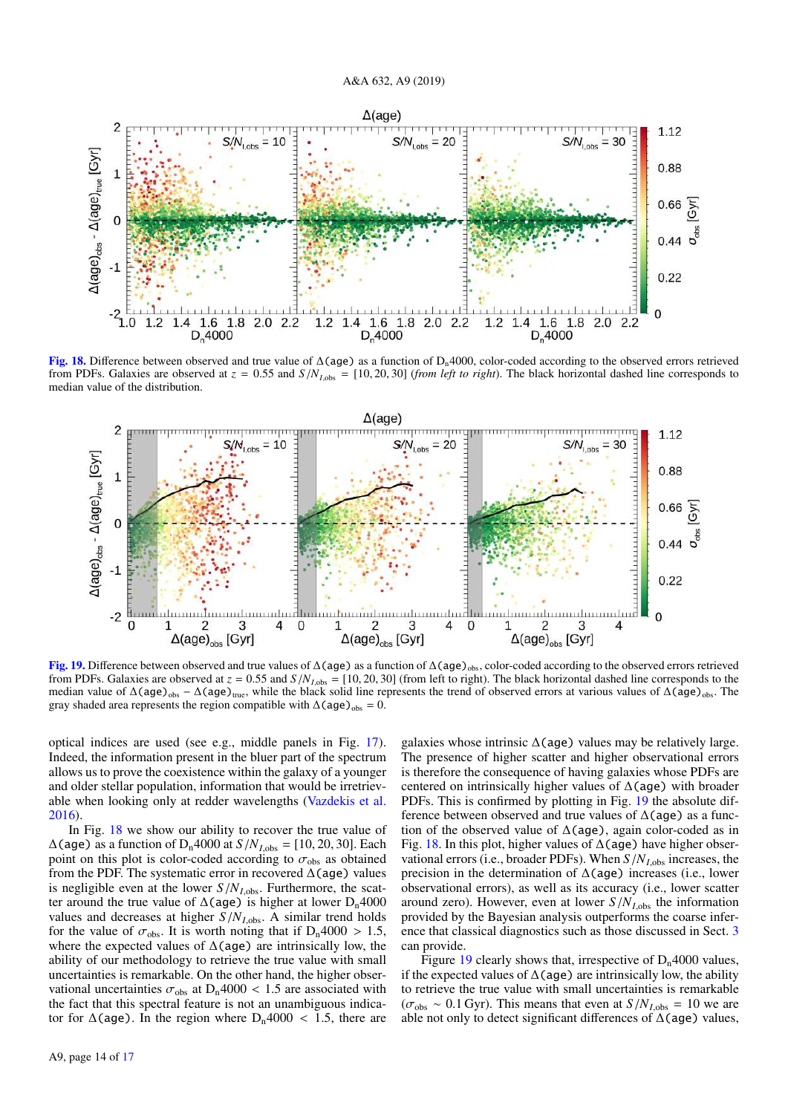

<span id="page-13-0"></span>[Fig. 18.](https://dexter.edpsciences.org/applet.php?DOI=10.1051/0004-6361/201936550&pdf_id=18) Difference between observed and true value of ∆(age) as a function of Dn4000, color-coded according to the observed errors retrieved from PDFs. Galaxies are observed at  $z = 0.55$  and  $S/N_{I \text{ obs}} = [10, 20, 30]$  (*from left to right*). The black horizontal dashed line corresponds to median value of the distribution.



<span id="page-13-1"></span>[Fig. 19.](https://dexter.edpsciences.org/applet.php?DOI=10.1051/0004-6361/201936550&pdf_id=19) Difference between observed and true values of ∆(age) as a function of ∆(age)<sub>obs</sub>, color-coded according to the observed errors retrieved from PDFs. Galaxies are observed at  $z = 0.55$  and  $S/N_{Lobs} = [10, 20, 30]$  (from left to right). The black horizontal dashed line corresponds to the median value of  $\Delta$ (age)<sub>obs</sub> −  $\Delta$ (age)<sub>true</sub>, while the black solid line represents the trend of observed errors at various values of  $\Delta$ (age)<sub>obs</sub>. The gray shaded area represents the region compatible with  $\Delta$ (age)<sub>obs</sub> = 0.

optical indices are used (see e.g., middle panels in Fig. [17\)](#page-12-2). Indeed, the information present in the bluer part of the spectrum allows us to prove the coexistence within the galaxy of a younger and older stellar population, information that would be irretrievable when looking only at redder wavelengths [\(Vazdekis et al.](#page-15-45) [2016\)](#page-15-45).

In Fig. [18](#page-13-0) we show our ability to recover the true value of  $\Delta$ (age) as a function of D<sub>n</sub>4000 at *S*/*N*<sub>*I*,obs</sub> = [10, 20, 30]. Each point on this plot is color-coded according to  $\sigma_{obs}$  as obtained from the PDF. The systematic error in recovered  $\Delta$ (age) values is negligible even at the lower  $S/N_{I,obs}$ . Furthermore, the scatter around the true value of  $\Delta$ (age) is higher at lower D<sub>n</sub>4000 values and decreases at higher *<sup>S</sup>*/*N<sup>I</sup>*,obs. A similar trend holds for the value of  $\sigma_{obs}$ . It is worth noting that if  $D_n4000 > 1.5$ , where the expected values of ∆(age) are intrinsically low, the ability of our methodology to retrieve the true value with small uncertainties is remarkable. On the other hand, the higher observational uncertainties  $\sigma_{obs}$  at  $D_n4000 < 1.5$  are associated with the fact that this spectral feature is not an unambiguous indicator for  $\Delta$ (age). In the region where D<sub>n</sub>4000 < 1.5, there are

galaxies whose intrinsic  $\Delta$ (age) values may be relatively large. The presence of higher scatter and higher observational errors is therefore the consequence of having galaxies whose PDFs are centered on intrinsically higher values of ∆(age) with broader PDFs. This is confirmed by plotting in Fig. [19](#page-13-1) the absolute difference between observed and true values of ∆(age) as a function of the observed value of ∆(age), again color-coded as in Fig. [18.](#page-13-0) In this plot, higher values of ∆(age) have higher observational errors (i.e., broader PDFs). When *<sup>S</sup>*/*N<sup>I</sup>*,obs increases, the precision in the determination of ∆(age) increases (i.e., lower observational errors), as well as its accuracy (i.e., lower scatter around zero). However, even at lower  $S/N_{I,obs}$  the information provided by the Bayesian analysis outperforms the coarse inference that classical diagnostics such as those discussed in Sect. [3](#page-5-0) can provide.

Figure [19](#page-13-1) clearly shows that, irrespective of  $D_n4000$  values, if the expected values of  $\Delta$ (age) are intrinsically low, the ability to retrieve the true value with small uncertainties is remarkable  $(\sigma_{obs} \sim 0.1 \text{ Gyr})$ . This means that even at  $S/N_{I,obs} = 10$  we are able not only to detect significant differences of ∆(age) values,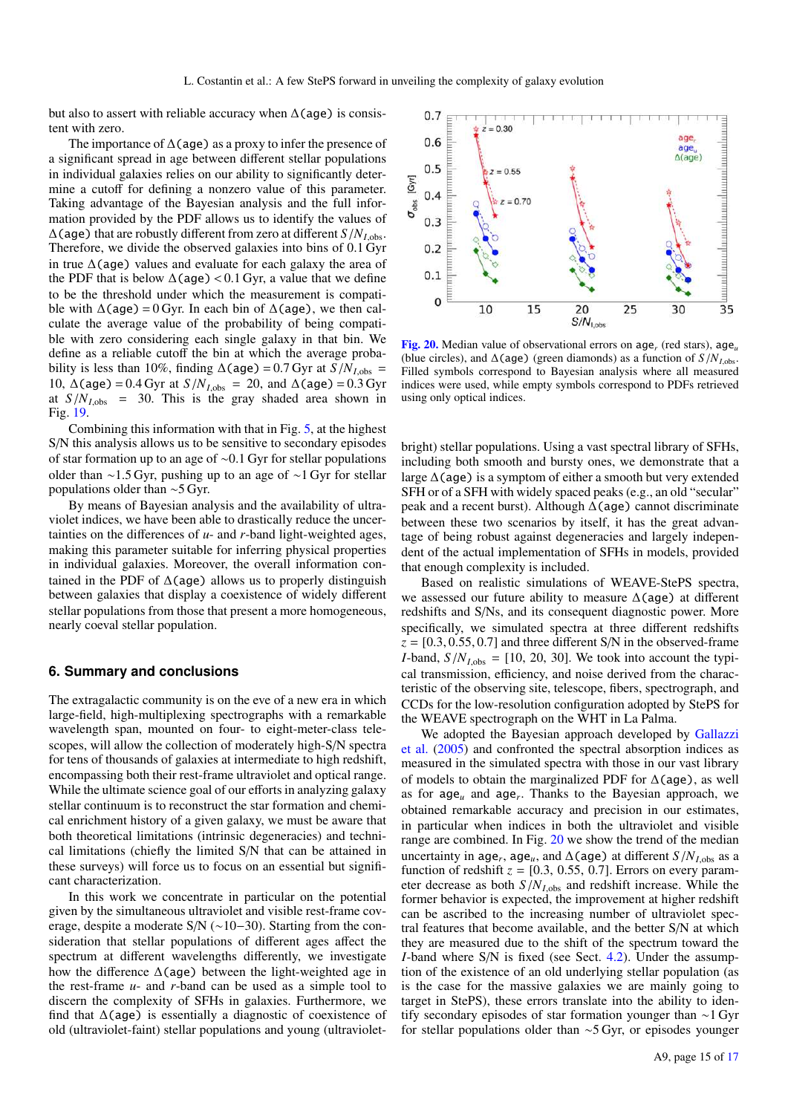but also to assert with reliable accuracy when  $\Delta$ (age) is consistent with zero.

The importance of  $\Delta$ (age) as a proxy to infer the presence of a significant spread in age between different stellar populations in individual galaxies relies on our ability to significantly determine a cutoff for defining a nonzero value of this parameter. Taking advantage of the Bayesian analysis and the full information provided by the PDF allows us to identify the values of <sup>∆</sup>(age) that are robustly different from zero at different *<sup>S</sup>*/*NI*,obs. Therefore, we divide the observed galaxies into bins of 0.1 Gyr in true ∆(age) values and evaluate for each galaxy the area of the PDF that is below  $\Delta$ (age) < 0.1 Gyr, a value that we define to be the threshold under which the measurement is compatible with  $\Delta$ (age) = 0 Gyr. In each bin of  $\Delta$ (age), we then calculate the average value of the probability of being compatible with zero considering each single galaxy in that bin. We define as a reliable cutoff the bin at which the average probability is less than 10%, finding  $\Delta$ (age) = 0.7 Gyr at  $S/N_{I,obs}$  = 10, Δ(age) = 0.4 Gyr at *S*/*N*<sub>*I*,obs</sub> = 20, and Δ(age) = 0.3 Gyr at  $S/N_{I,obs}$  = 30. This is the gray shaded area shown in Fig. [19.](#page-13-1)

Combining this information with that in Fig. [5,](#page-5-1) at the highest S/N this analysis allows us to be sensitive to secondary episodes of star formation up to an age of <sup>∼</sup>0.1 Gyr for stellar populations older than <sup>∼</sup>1.5 Gyr, pushing up to an age of <sup>∼</sup>1 Gyr for stellar populations older than ∼5 Gyr.

By means of Bayesian analysis and the availability of ultraviolet indices, we have been able to drastically reduce the uncertainties on the differences of *u*- and *r*-band light-weighted ages, making this parameter suitable for inferring physical properties in individual galaxies. Moreover, the overall information contained in the PDF of  $\Delta$ (age) allows us to properly distinguish between galaxies that display a coexistence of widely different stellar populations from those that present a more homogeneous, nearly coeval stellar population.

# <span id="page-14-0"></span>**6. Summary and conclusions**

The extragalactic community is on the eve of a new era in which large-field, high-multiplexing spectrographs with a remarkable wavelength span, mounted on four- to eight-meter-class telescopes, will allow the collection of moderately high-S/N spectra for tens of thousands of galaxies at intermediate to high redshift, encompassing both their rest-frame ultraviolet and optical range. While the ultimate science goal of our efforts in analyzing galaxy stellar continuum is to reconstruct the star formation and chemical enrichment history of a given galaxy, we must be aware that both theoretical limitations (intrinsic degeneracies) and technical limitations (chiefly the limited S/N that can be attained in these surveys) will force us to focus on an essential but significant characterization.

In this work we concentrate in particular on the potential given by the simultaneous ultraviolet and visible rest-frame coverage, despite a moderate S/N (∼10−30). Starting from the consideration that stellar populations of different ages affect the spectrum at different wavelengths differently, we investigate how the difference  $\Delta$ (age) between the light-weighted age in the rest-frame *u*- and *r*-band can be used as a simple tool to discern the complexity of SFHs in galaxies. Furthermore, we find that ∆(age) is essentially a diagnostic of coexistence of old (ultraviolet-faint) stellar populations and young (ultraviolet-



<span id="page-14-1"></span>[Fig. 20.](https://dexter.edpsciences.org/applet.php?DOI=10.1051/0004-6361/201936550&pdf_id=20) Median value of observational errors on age*<sup>r</sup>* (red stars), age*<sup>u</sup>* (blue circles), and  $\Delta$ (age) (green diamonds) as a function of  $S/N_{Lobs}$ . Filled symbols correspond to Bayesian analysis where all measured indices were used, while empty symbols correspond to PDFs retrieved using only optical indices.

bright) stellar populations. Using a vast spectral library of SFHs, including both smooth and bursty ones, we demonstrate that a large ∆(age) is a symptom of either a smooth but very extended SFH or of a SFH with widely spaced peaks (e.g., an old "secular" peak and a recent burst). Although ∆(age) cannot discriminate between these two scenarios by itself, it has the great advantage of being robust against degeneracies and largely independent of the actual implementation of SFHs in models, provided that enough complexity is included.

Based on realistic simulations of WEAVE-StePS spectra, we assessed our future ability to measure ∆(age) at different redshifts and S/Ns, and its consequent diagnostic power. More specifically, we simulated spectra at three different redshifts  $z = [0.3, 0.55, 0.7]$  and three different S/N in the observed-frame *I*-band,  $S/N_{I,obs} = [10, 20, 30]$ . We took into account the typical transmission, efficiency, and noise derived from the characteristic of the observing site, telescope, fibers, spectrograph, and CCDs for the low-resolution configuration adopted by StePS for the WEAVE spectrograph on the WHT in La Palma.

We adopted the Bayesian approach developed by [Gallazzi](#page-15-49) [et al.](#page-15-49) [\(2005\)](#page-15-49) and confronted the spectral absorption indices as measured in the simulated spectra with those in our vast library of models to obtain the marginalized PDF for ∆(age), as well as for age*<sup>u</sup>* and age*<sup>r</sup>* . Thanks to the Bayesian approach, we obtained remarkable accuracy and precision in our estimates, in particular when indices in both the ultraviolet and visible range are combined. In Fig. [20](#page-14-1) we show the trend of the median uncertainty in  $age_r$ ,  $age_u$ , and  $\Delta$ ( $age_d$ ) at different  $S/N_{I,obs}$  as a function of redshift  $z = 10.3 \pm 0.55 \pm 0.71$  Ferrors on every parameters function of redshift  $z = [0.3, 0.55, 0.7]$ . Errors on every parameter decrease as both *<sup>S</sup>*/*N<sup>I</sup>*,obs and redshift increase. While the former behavior is expected, the improvement at higher redshift can be ascribed to the increasing number of ultraviolet spectral features that become available, and the better S/N at which they are measured due to the shift of the spectrum toward the *I*-band where S/N is fixed (see Sect. [4.2\)](#page-8-1). Under the assumption of the existence of an old underlying stellar population (as is the case for the massive galaxies we are mainly going to target in StePS), these errors translate into the ability to identify secondary episodes of star formation younger than ∼1 Gyr for stellar populations older than ∼5 Gyr, or episodes younger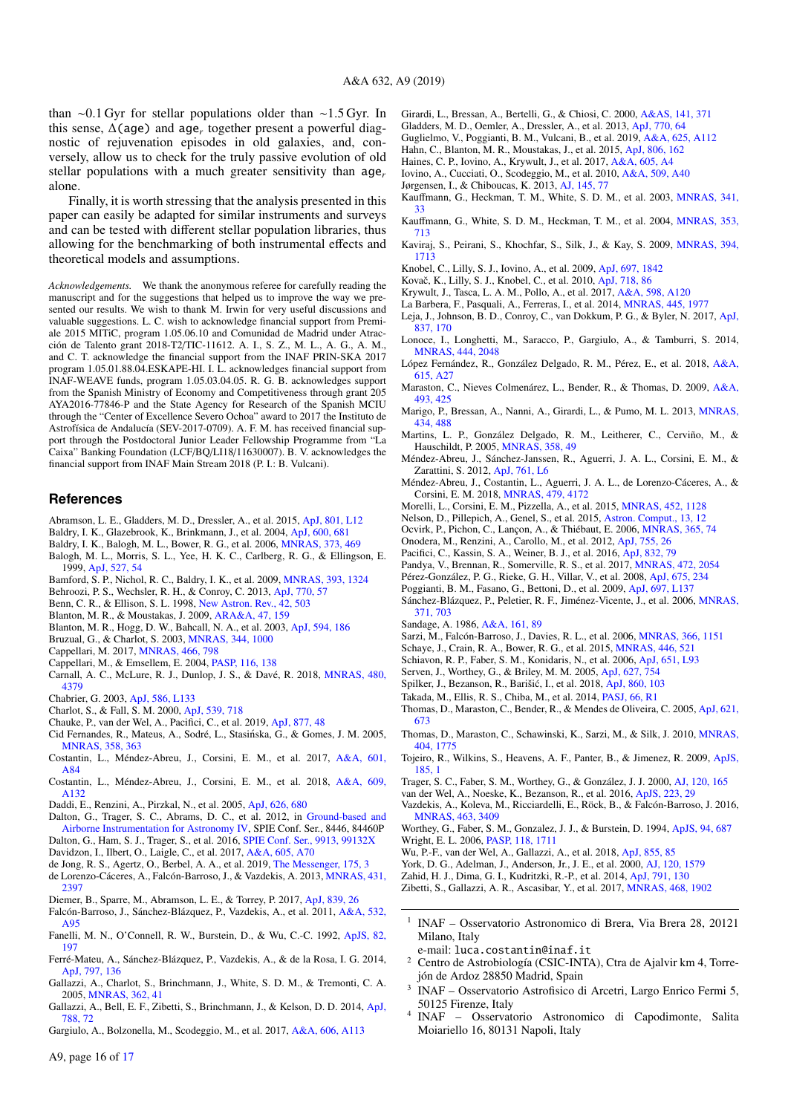than <sup>∼</sup>0.1 Gyr for stellar populations older than <sup>∼</sup>1.5 Gyr. In this sense, ∆(age) and age*<sup>r</sup>* together present a powerful diagnostic of rejuvenation episodes in old galaxies, and, conversely, allow us to check for the truly passive evolution of old stellar populations with a much greater sensitivity than age*<sup>r</sup>* alone.

Finally, it is worth stressing that the analysis presented in this paper can easily be adapted for similar instruments and surveys and can be tested with different stellar population libraries, thus allowing for the benchmarking of both instrumental effects and theoretical models and assumptions.

*Acknowledgements.* We thank the anonymous referee for carefully reading the manuscript and for the suggestions that helped us to improve the way we presented our results. We wish to thank M. Irwin for very useful discussions and valuable suggestions. L. C. wish to acknowledge financial support from Premiale 2015 MITiC, program 1.05.06.10 and Comunidad de Madrid under Atracción de Talento grant 2018-T2/TIC-11612. A. I., S. Z., M. L., A. G., A. M., and C. T. acknowledge the financial support from the INAF PRIN-SKA 2017 program 1.05.01.88.04.ESKAPE-HI. I. L. acknowledges financial support from INAF-WEAVE funds, program 1.05.03.04.05. R. G. B. acknowledges support from the Spanish Ministry of Economy and Competitiveness through grant 205 AYA2016-77846-P and the State Agency for Research of the Spanish MCIU through the "Center of Excellence Severo Ochoa" award to 2017 the Instituto de Astrofísica de Andalucía (SEV-2017-0709). A. F. M. has received financial support through the Postdoctoral Junior Leader Fellowship Programme from "La Caixa" Banking Foundation (LCF/BQ/LI18/11630007). B. V. acknowledges the financial support from INAF Main Stream 2018 (P. I.: B. Vulcani).

## **References**

- <span id="page-15-60"></span>Abramson, L. E., Gladders, M. D., Dressler, A., et al. 2015, [ApJ, 801, L12](http://linker.aanda.org/10.1051/0004-6361/201936550/1)
- <span id="page-15-22"></span>Baldry, I. K., Glazebrook, K., Brinkmann, J., et al. 2004, [ApJ, 600, 681](http://linker.aanda.org/10.1051/0004-6361/201936550/2)
- <span id="page-15-24"></span>Baldry, I. K., Balogh, M. L., Bower, R. G., et al. 2006, [MNRAS, 373, 469](http://linker.aanda.org/10.1051/0004-6361/201936550/3)
- <span id="page-15-84"></span>Balogh, M. L., Morris, S. L., Yee, H. K. C., Carlberg, R. G., & Ellingson, E. 1999, [ApJ, 527, 54](http://linker.aanda.org/10.1051/0004-6361/201936550/4)
- <span id="page-15-26"></span>Bamford, S. P., Nichol, R. C., Baldry, I. K., et al. 2009, [MNRAS, 393, 1324](http://linker.aanda.org/10.1051/0004-6361/201936550/5)
- <span id="page-15-58"></span>Behroozi, P. S., Wechsler, R. H., & Conroy, C. 2013, [ApJ, 770, 57](http://linker.aanda.org/10.1051/0004-6361/201936550/6)
- <span id="page-15-82"></span>Benn, C. R., & Ellison, S. L. 1998, [New Astron. Rev., 42, 503](http://linker.aanda.org/10.1051/0004-6361/201936550/7)
- <span id="page-15-25"></span>Blanton, M. R., & Moustakas, J. 2009, [ARA&A, 47, 159](http://linker.aanda.org/10.1051/0004-6361/201936550/8)
- 
- <span id="page-15-51"></span><span id="page-15-21"></span>Blanton, M. R., Hogg, D. W., Bahcall, N. A., et al. 2003, [ApJ, 594, 186](http://linker.aanda.org/10.1051/0004-6361/201936550/9) Bruzual, G., & Charlot, S. 2003, [MNRAS, 344, 1000](http://linker.aanda.org/10.1051/0004-6361/201936550/10)
- 
- <span id="page-15-70"></span>Cappellari, M. 2017, [MNRAS, 466, 798](http://linker.aanda.org/10.1051/0004-6361/201936550/11)
- <span id="page-15-64"></span>Cappellari, M., & Emsellem, E. 2004, [PASP, 116, 138](http://linker.aanda.org/10.1051/0004-6361/201936550/12)
- <span id="page-15-69"></span>Carnall, A. C., McLure, R. J., Dunlop, J. S., & Davé, R. 2018, [MNRAS, 480,](http://linker.aanda.org/10.1051/0004-6361/201936550/13) [4379](http://linker.aanda.org/10.1051/0004-6361/201936550/13)
- <span id="page-15-47"></span>Chabrier, G. 2003, [ApJ, 586, L133](http://linker.aanda.org/10.1051/0004-6361/201936550/14)
- <span id="page-15-63"></span>Charlot, S., & Fall, S. M. 2000, [ApJ, 539, 718](http://linker.aanda.org/10.1051/0004-6361/201936550/15)
- <span id="page-15-39"></span>Chauke, P., van der Wel, A., Pacifici, C., et al. 2019, [ApJ, 877, 48](http://linker.aanda.org/10.1051/0004-6361/201936550/16)
- <span id="page-15-65"></span>Cid Fernandes, R., Mateus, A., Sodré, L., Stasinska, G., & Gomes, J. M. 2005, ´ [MNRAS, 358, 363](http://linker.aanda.org/10.1051/0004-6361/201936550/17)
- <span id="page-15-11"></span>Costantin, L., Méndez-Abreu, J., Corsini, E. M., et al. 2017, [A&A, 601,](http://linker.aanda.org/10.1051/0004-6361/201936550/18) [A84](http://linker.aanda.org/10.1051/0004-6361/201936550/18)
- <span id="page-15-12"></span>Costantin, L., Méndez-Abreu, J., Corsini, E. M., et al. 2018, [A&A, 609,](http://linker.aanda.org/10.1051/0004-6361/201936550/19) A<sub>132</sub>
- <span id="page-15-77"></span>Daddi, E., Renzini, A., Pirzkal, N., et al. 2005, [ApJ, 626, 680](http://linker.aanda.org/10.1051/0004-6361/201936550/20)
- <span id="page-15-46"></span>Dalton, G., Trager, S. C., Abrams, D. C., et al. 2012, in [Ground-based and](http://linker.aanda.org/10.1051/0004-6361/201936550/21) [Airborne Instrumentation for Astronomy IV,](http://linker.aanda.org/10.1051/0004-6361/201936550/21) SPIE Conf. Ser., 8446, 84460P Dalton, G., Ham, S. J., Trager, S., et al. 2016, [SPIE Conf. Ser., 9913, 99132X](http://linker.aanda.org/10.1051/0004-6361/201936550/22)
- <span id="page-15-81"></span><span id="page-15-6"></span>Davidzon, I., Ilbert, O., Laigle, C., et al. 2017, [A&A, 605, A70](http://linker.aanda.org/10.1051/0004-6361/201936550/23)
- <span id="page-15-71"></span>de Jong, R. S., Agertz, O., Berbel, A. A., et al. 2019, [The Messenger, 175, 3](http://linker.aanda.org/10.1051/0004-6361/201936550/24)
- <span id="page-15-9"></span>de Lorenzo-Cáceres, A., Falcón-Barroso, J., & Vazdekis, A. 2013, [MNRAS, 431,](http://linker.aanda.org/10.1051/0004-6361/201936550/25) [2397](http://linker.aanda.org/10.1051/0004-6361/201936550/25)
- <span id="page-15-62"></span>Diemer, B., Sparre, M., Abramson, L. E., & Torrey, P. 2017, [ApJ, 839, 26](http://linker.aanda.org/10.1051/0004-6361/201936550/26)
- <span id="page-15-55"></span>Falcón-Barroso, J., Sánchez-Blázquez, P., Vazdekis, A., et al. 2011, [A&A, 532,](http://linker.aanda.org/10.1051/0004-6361/201936550/27) [A95](http://linker.aanda.org/10.1051/0004-6361/201936550/27)
- <span id="page-15-76"></span>Fanelli, M. N., O'Connell, R. W., Burstein, D., & Wu, C.-C. 1992, [ApJS, 82,](http://linker.aanda.org/10.1051/0004-6361/201936550/28) [197](http://linker.aanda.org/10.1051/0004-6361/201936550/28)
- <span id="page-15-16"></span>Ferré-Mateu, A., Sánchez-Blázquez, P., Vazdekis, A., & de la Rosa, I. G. 2014, [ApJ, 797, 136](http://linker.aanda.org/10.1051/0004-6361/201936550/29)
- <span id="page-15-49"></span>Gallazzi, A., Charlot, S., Brinchmann, J., White, S. D. M., & Tremonti, C. A. 2005, [MNRAS, 362, 41](http://linker.aanda.org/10.1051/0004-6361/201936550/30)
- <span id="page-15-35"></span>Gallazzi, A., Bell, E. F., Zibetti, S., Brinchmann, J., & Kelson, D. D. 2014, [ApJ,](http://linker.aanda.org/10.1051/0004-6361/201936550/31) [788, 72](http://linker.aanda.org/10.1051/0004-6361/201936550/31)
- <span id="page-15-44"></span>Gargiulo, A., Bolzonella, M., Scodeggio, M., et al. 2017, [A&A, 606, A113](http://linker.aanda.org/10.1051/0004-6361/201936550/32)
- A9, page 16 of [17](#page-16-19)
- <span id="page-15-52"></span>Girardi, L., Bressan, A., Bertelli, G., & Chiosi, C. 2000, [A&AS, 141, 371](http://linker.aanda.org/10.1051/0004-6361/201936550/33)
- <span id="page-15-59"></span>Gladders, M. D., Oemler, A., Dressler, A., et al. 2013, [ApJ, 770, 64](http://linker.aanda.org/10.1051/0004-6361/201936550/34)
- <span id="page-15-18"></span>Guglielmo, V., Poggianti, B. M., Vulcani, B., et al. 2019, [A&A, 625, A112](http://linker.aanda.org/10.1051/0004-6361/201936550/35)
- <span id="page-15-32"></span>Hahn, C., Blanton, M. R., Moustakas, J., et al. 2015, [ApJ, 806, 162](http://linker.aanda.org/10.1051/0004-6361/201936550/36)
- <span id="page-15-29"></span>Haines, C. P., Iovino, A., Krywult, J., et al. 2017, [A&A, 605, A4](http://linker.aanda.org/10.1051/0004-6361/201936550/37)
- <span id="page-15-30"></span>Iovino, A., Cucciati, O., Scodeggio, M., et al. 2010, [A&A, 509, A40](http://linker.aanda.org/10.1051/0004-6361/201936550/38)
- <span id="page-15-73"></span>Jørgensen, I., & Chiboucas, K. 2013, [AJ, 145, 77](http://linker.aanda.org/10.1051/0004-6361/201936550/39)
- <span id="page-15-20"></span>Kauffmann, G., Heckman, T. M., White, S. D. M., et al. 2003, [MNRAS, 341,](http://linker.aanda.org/10.1051/0004-6361/201936550/40) [33](http://linker.aanda.org/10.1051/0004-6361/201936550/40)
- <span id="page-15-23"></span>Kauffmann, G., White, S. D. M., Heckman, T. M., et al. 2004, [MNRAS, 353,](http://linker.aanda.org/10.1051/0004-6361/201936550/41) [713](http://linker.aanda.org/10.1051/0004-6361/201936550/41)
- <span id="page-15-41"></span>Kaviraj, S., Peirani, S., Khochfar, S., Silk, J., & Kay, S. 2009, [MNRAS, 394,](http://linker.aanda.org/10.1051/0004-6361/201936550/42) [1713](http://linker.aanda.org/10.1051/0004-6361/201936550/42)
- <span id="page-15-43"></span>Knobel, C., Lilly, S. J., Iovino, A., et al. 2009, [ApJ, 697, 1842](http://linker.aanda.org/10.1051/0004-6361/201936550/43)
- <span id="page-15-31"></span>Kovač, K., Lilly, S. J., Knobel, C., et al. 2010, [ApJ, 718, 86](http://linker.aanda.org/10.1051/0004-6361/201936550/44)
- <span id="page-15-42"></span>Krywult, J., Tasca, L. A. M., Pollo, A., et al. 2017, [A&A, 598, A120](http://linker.aanda.org/10.1051/0004-6361/201936550/45)
- <span id="page-15-17"></span>La Barbera, F., Pasquali, A., Ferreras, I., et al. 2014, [MNRAS, 445, 1977](http://linker.aanda.org/10.1051/0004-6361/201936550/46)
- <span id="page-15-68"></span>Leja, J., Johnson, B. D., Conroy, C., van Dokkum, P. G., & Byler, N. 2017, [ApJ,](http://linker.aanda.org/10.1051/0004-6361/201936550/47) [837, 170](http://linker.aanda.org/10.1051/0004-6361/201936550/47)
- <span id="page-15-74"></span>Lonoce, I., Longhetti, M., Saracco, P., Gargiulo, A., & Tamburri, S. 2014, [MNRAS, 444, 2048](http://linker.aanda.org/10.1051/0004-6361/201936550/48)
- <span id="page-15-28"></span>López Fernández, R., González Delgado, R. M., Pérez, E., et al. 2018, [A&A,](http://linker.aanda.org/10.1051/0004-6361/201936550/49) [615, A27](http://linker.aanda.org/10.1051/0004-6361/201936550/49)
- <span id="page-15-78"></span>Maraston, C., Nieves Colmenárez, L., Bender, R., & Thomas, D. 2009, [A&A,](http://linker.aanda.org/10.1051/0004-6361/201936550/50) [493, 425](http://linker.aanda.org/10.1051/0004-6361/201936550/50)
- <span id="page-15-53"></span>Marigo, P., Bressan, A., Nanni, A., Girardi, L., & Pumo, M. L. 2013, [MNRAS,](http://linker.aanda.org/10.1051/0004-6361/201936550/51) [434, 488](http://linker.aanda.org/10.1051/0004-6361/201936550/51)
- <span id="page-15-56"></span>Martins, L. P., González Delgado, R. M., Leitherer, C., Cerviño, M., & Hauschildt, P. 2005, [MNRAS, 358, 49](http://linker.aanda.org/10.1051/0004-6361/201936550/52)
- <span id="page-15-7"></span>Méndez-Abreu, J., Sánchez-Janssen, R., Aguerri, J. A. L., Corsini, E. M., & Zarattini, S. 2012, [ApJ, 761, L6](http://linker.aanda.org/10.1051/0004-6361/201936550/53)
- <span id="page-15-8"></span>Méndez-Abreu, J., Costantin, L., Aguerri, J. A. L., de Lorenzo-Cáceres, A., & Corsini, E. M. 2018, [MNRAS, 479, 4172](http://linker.aanda.org/10.1051/0004-6361/201936550/54)
- <span id="page-15-10"></span>Morelli, L., Corsini, E. M., Pizzella, A., et al. 2015, [MNRAS, 452, 1128](http://linker.aanda.org/10.1051/0004-6361/201936550/55)
- <span id="page-15-13"></span>Nelson, D., Pillepich, A., Genel, S., et al. 2015, [Astron. Comput., 13, 12](http://linker.aanda.org/10.1051/0004-6361/201936550/56)
- <span id="page-15-66"></span>Ocvirk, P., Pichon, C., Lançon, A., & Thiébaut, E. 2006, [MNRAS, 365, 74](http://linker.aanda.org/10.1051/0004-6361/201936550/57)
- <span id="page-15-75"></span>Onodera, M., Renzini, A., Carollo, M., et al. 2012, [ApJ, 755, 26](http://linker.aanda.org/10.1051/0004-6361/201936550/58)
- <span id="page-15-61"></span>Pacifici, C., Kassin, S. A., Weiner, B. J., et al. 2016, [ApJ, 832, 79](http://linker.aanda.org/10.1051/0004-6361/201936550/59)
- <span id="page-15-33"></span>Pandya, V., Brennan, R., Somerville, R. S., et al. 2017, [MNRAS, 472, 2054](http://linker.aanda.org/10.1051/0004-6361/201936550/60)
- <span id="page-15-4"></span>Pérez-González, P. G., Rieke, G. H., Villar, V., et al. 2008, [ApJ, 675, 234](http://linker.aanda.org/10.1051/0004-6361/201936550/61)
- <span id="page-15-15"></span>Poggianti, B. M., Fasano, G., Bettoni, D., et al. 2009, [ApJ, 697, L137](http://linker.aanda.org/10.1051/0004-6361/201936550/62)
- <span id="page-15-54"></span>Sánchez-Blázquez, P., Peletier, R. F., Jiménez-Vicente, J., et al. 2006, [MNRAS,](http://linker.aanda.org/10.1051/0004-6361/201936550/63) [371, 703](http://linker.aanda.org/10.1051/0004-6361/201936550/63)
- <span id="page-15-57"></span>Sandage, A. 1986, [A&A, 161, 89](http://linker.aanda.org/10.1051/0004-6361/201936550/64)
- <span id="page-15-50"></span><span id="page-15-14"></span>Sarzi, M., Falcón-Barroso, J., Davies, R. L., et al. 2006, [MNRAS, 366, 1151](http://linker.aanda.org/10.1051/0004-6361/201936550/65)
- Schaye, J., Crain, R. A., Bower, R. G., et al. 2015, [MNRAS, 446, 521](http://linker.aanda.org/10.1051/0004-6361/201936550/66)
- <span id="page-15-34"></span>Schiavon, R. P., Faber, S. M., Konidaris, N., et al. 2006, [ApJ, 651, L93](http://linker.aanda.org/10.1051/0004-6361/201936550/67)
- <span id="page-15-83"></span>Serven, J., Worthey, G., & Briley, M. M. 2005, [ApJ, 627, 754](http://linker.aanda.org/10.1051/0004-6361/201936550/68)
- <span id="page-15-38"></span>Spilker, J., Bezanson, R., Barišić, I., et al. 2018, [ApJ, 860, 103](http://linker.aanda.org/10.1051/0004-6361/201936550/69)
- <span id="page-15-79"></span>Takada, M., Ellis, R. S., Chiba, M., et al. 2014, [PASJ, 66, R1](http://linker.aanda.org/10.1051/0004-6361/201936550/70)
- <span id="page-15-72"></span>Thomas, D., Maraston, C., Bender, R., & Mendes de Oliveira, C. 2005, [ApJ, 621,](http://linker.aanda.org/10.1051/0004-6361/201936550/71) [673](http://linker.aanda.org/10.1051/0004-6361/201936550/71)
- <span id="page-15-5"></span>Thomas, D., Maraston, C., Schawinski, K., Sarzi, M., & Silk, J. 2010, [MNRAS,](http://linker.aanda.org/10.1051/0004-6361/201936550/72) [404, 1775](http://linker.aanda.org/10.1051/0004-6361/201936550/72)
- <span id="page-15-67"></span>Tojeiro, R., Wilkins, S., Heavens, A. F., Panter, B., & Jimenez, R. 2009, [ApJS,](http://linker.aanda.org/10.1051/0004-6361/201936550/73) [185, 1](http://linker.aanda.org/10.1051/0004-6361/201936550/73)
- <span id="page-15-40"></span>Trager, S. C., Faber, S. M., Worthey, G., & González, J. J. 2000, [AJ, 120, 165](http://linker.aanda.org/10.1051/0004-6361/201936550/74)
- <span id="page-15-36"></span>van der Wel, A., Noeske, K., Bezanson, R., et al. 2016, [ApJS, 223, 29](http://linker.aanda.org/10.1051/0004-6361/201936550/75)
- <span id="page-15-45"></span>Vazdekis, A., Koleva, M., Ricciardelli, E., Röck, B., & Falcón-Barroso, J. 2016, [MNRAS, 463, 3409](http://linker.aanda.org/10.1051/0004-6361/201936550/76)
- <span id="page-15-85"></span><span id="page-15-48"></span>Worthey, G., Faber, S. M., Gonzalez, J. J., & Burstein, D. 1994, [ApJS, 94, 687](http://linker.aanda.org/10.1051/0004-6361/201936550/77) Wright, E. L. 2006, [PASP, 118, 1711](http://linker.aanda.org/10.1051/0004-6361/201936550/78)
- <span id="page-15-37"></span>Wu, P.-F., van der Wel, A., Gallazzi, A., et al. 2018, [ApJ, 855, 85](http://linker.aanda.org/10.1051/0004-6361/201936550/79)
- <span id="page-15-19"></span>York, D. G., Adelman, J., Anderson, Jr., J. E., et al. 2000, [AJ, 120, 1579](http://linker.aanda.org/10.1051/0004-6361/201936550/80)
- <span id="page-15-80"></span>Zahid, H. J., Dima, G. I., Kudritzki, R.-P., et al. 2014, [ApJ, 791, 130](http://linker.aanda.org/10.1051/0004-6361/201936550/81)
- <span id="page-15-27"></span>Zibetti, S., Gallazzi, A. R., Ascasibar, Y., et al. 2017, [MNRAS, 468, 1902](http://linker.aanda.org/10.1051/0004-6361/201936550/82)
- <span id="page-15-0"></span>1 INAF – Osservatorio Astronomico di Brera, Via Brera 28, 20121 Milano, Italy

e-mail: luca.costantin@inaf.it

- <span id="page-15-1"></span><sup>2</sup> Centro de Astrobiología (CSIC-INTA), Ctra de Ajalvir km 4, Torrejón de Ardoz 28850 Madrid, Spain
- <span id="page-15-2"></span>3 INAF – Osservatorio Astrofisico di Arcetri, Largo Enrico Fermi 5, 50125 Firenze, Italy
- <span id="page-15-3"></span>4 INAF – Osservatorio Astronomico di Capodimonte, Salita Moiariello 16, 80131 Napoli, Italy